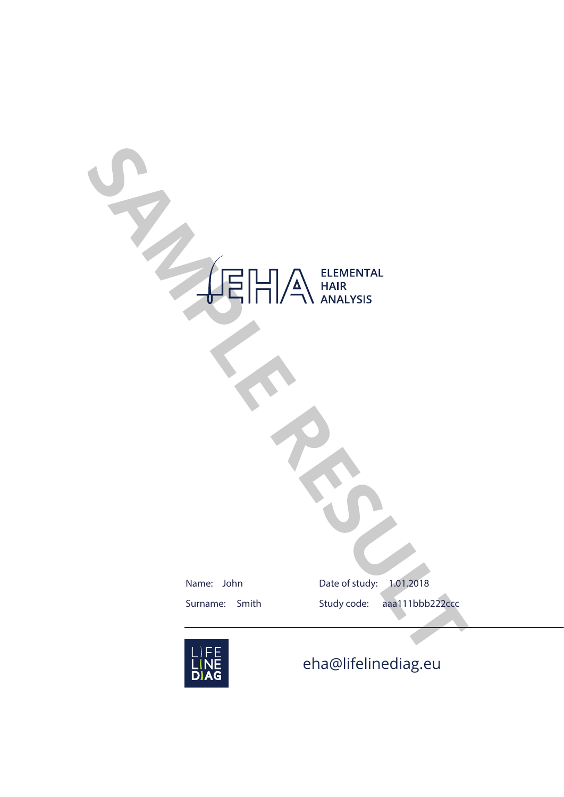# ELEMENTAL<br> **SAMPLE RESULTED RESULTED AND SURVEY SERVICE AND ANALYSIS**<br>
Summe: John<br>
Summe: Smith Study code: apa111bbb222ccc

Name: John Surname: Smith Date of study: 1.01.2018 Study code: aaa111bbb222ccc



eha@lifelinediag.eu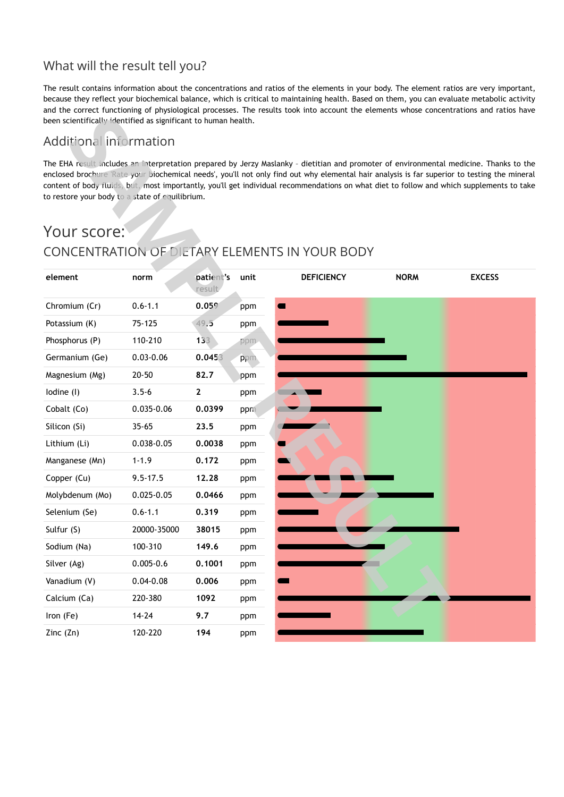## What will the result tell you?

The result contains information about the concentrations and ratios of the elements in your body. The element ratios are very important, because they reflect your biochemical balance, which is critical to maintaining health. Based on them, you can evaluate metabolic activity and the correct functioning of physiological processes. The results took into account the elements whose concentrations and ratios have been scientifically identified as significant to human health.

## Additional information

# Your score: CONCENTRATION OF DIETARY ELEMENTS IN YOUR BODY

| been scientifically identified as significant to human health. |                |                     |      |                   |             |                                                                                                                                                                                                                                                                                                                                                                                                                                    |
|----------------------------------------------------------------|----------------|---------------------|------|-------------------|-------------|------------------------------------------------------------------------------------------------------------------------------------------------------------------------------------------------------------------------------------------------------------------------------------------------------------------------------------------------------------------------------------------------------------------------------------|
| Additional information                                         |                |                     |      |                   |             |                                                                                                                                                                                                                                                                                                                                                                                                                                    |
| to restore your body to a state of equilibrium.<br>Your score: |                |                     |      |                   |             | The EHA result includes an interpretation prepared by Jerzy Maslanky - dietitian and promoter of environmental medicine. Thanks to the<br>enclosed brochure Rate your biochemical needs', you'll not only find out why elemental hair analysis is far superior to testing the mineral<br>content of body fluids, but, most importantly, you'll get individual recommendations on what diet to follow and which supplements to take |
| CONCENTRATION OF DIETARY ELEMENTS IN YOUR BODY                 |                |                     |      |                   |             |                                                                                                                                                                                                                                                                                                                                                                                                                                    |
| element                                                        | norm           | patient's<br>result | unit | <b>DEFICIENCY</b> | <b>NORM</b> | <b>EXCESS</b>                                                                                                                                                                                                                                                                                                                                                                                                                      |
| Chromium (Cr)                                                  | $0.6 - 1.1$    | 0.059               | ppm  |                   |             |                                                                                                                                                                                                                                                                                                                                                                                                                                    |
| Potassium (K)                                                  | 75-125         | 49.5                | ppm  |                   |             |                                                                                                                                                                                                                                                                                                                                                                                                                                    |
| Phosphorus (P)                                                 | 110-210        | 133                 | ppm. |                   |             |                                                                                                                                                                                                                                                                                                                                                                                                                                    |
| Germanium (Ge)                                                 | $0.03 - 0.06$  | 0.0453              | ppm. |                   |             |                                                                                                                                                                                                                                                                                                                                                                                                                                    |
| Magnesium (Mg)                                                 | $20 - 50$      | 82.7                | ppm  |                   |             |                                                                                                                                                                                                                                                                                                                                                                                                                                    |
| lodine (I)                                                     | $3.5 - 6$      | $\overline{2}$      | ppm  |                   |             |                                                                                                                                                                                                                                                                                                                                                                                                                                    |
| Cobalt (Co)                                                    | 0.035-0.06     | 0.0399              | ppm  |                   |             |                                                                                                                                                                                                                                                                                                                                                                                                                                    |
| Silicon (Si)                                                   | $35 - 65$      | 23.5                | ppm  |                   |             |                                                                                                                                                                                                                                                                                                                                                                                                                                    |
| Lithium (Li)                                                   | 0.038-0.05     | 0.0038              | ppm  |                   |             |                                                                                                                                                                                                                                                                                                                                                                                                                                    |
| Manganese (Mn)                                                 | $1 - 1.9$      | 0.172               | ppm  |                   |             |                                                                                                                                                                                                                                                                                                                                                                                                                                    |
| Copper (Cu)                                                    | $9.5 - 17.5$   | 12.28               | ppm  |                   |             |                                                                                                                                                                                                                                                                                                                                                                                                                                    |
| Molybdenum (Mo)                                                | $0.025 - 0.05$ | 0.0466              | ppm  |                   |             |                                                                                                                                                                                                                                                                                                                                                                                                                                    |
| Selenium (Se)                                                  | $0.6 - 1.1$    | 0.319               | ppm  |                   |             |                                                                                                                                                                                                                                                                                                                                                                                                                                    |
| Sulfur (S)                                                     | 20000-35000    | 38015               | ppm  |                   |             |                                                                                                                                                                                                                                                                                                                                                                                                                                    |
| Sodium (Na)                                                    | 100-310        | 149.6               | ppm  |                   |             |                                                                                                                                                                                                                                                                                                                                                                                                                                    |
| Silver (Ag)                                                    | $0.005 - 0.6$  | 0.1001              | ppm  |                   |             |                                                                                                                                                                                                                                                                                                                                                                                                                                    |
| Vanadium (V)                                                   | $0.04 - 0.08$  | 0.006               | ppm  |                   |             |                                                                                                                                                                                                                                                                                                                                                                                                                                    |
| Calcium (Ca)                                                   | 220-380        | 1092                | ppm  |                   |             |                                                                                                                                                                                                                                                                                                                                                                                                                                    |
| Iron (Fe)                                                      | $14 - 24$      | 9.7                 | ppm  |                   |             |                                                                                                                                                                                                                                                                                                                                                                                                                                    |
| Zinc $(Zn)$                                                    | 120-220        | 194                 | ppm  |                   |             |                                                                                                                                                                                                                                                                                                                                                                                                                                    |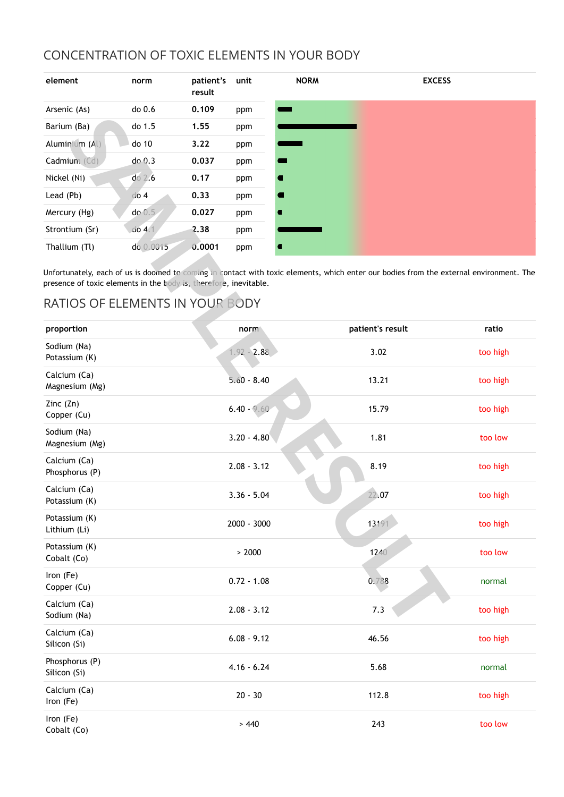## CONCENTRATION OF TOXIC ELEMENTS IN YOUR BODY

| element        | norm                | patient's<br>result | unit | <b>NORM</b> | <b>EXCESS</b> |
|----------------|---------------------|---------------------|------|-------------|---------------|
| Arsenic (As)   | do 0.6              | 0.109               | ppm  |             |               |
| Barium (Ba)    | do 1.5              | 1.55                | ppm  |             |               |
| Aluminium (Al) | do 10               | 3.22                | ppm  |             |               |
| Cadmium (Cd)   | $do$ $0.3$          | 0.037               | ppm  |             |               |
| Nickel (Ni)    | $do$ $2.6$          | 0.17                | ppm  |             |               |
| Lead (Pb)      | $d$ o 4             | 0.33                | ppm  |             |               |
| Mercury (Hg)   | do 0.5              | 0.027               | ppm  |             |               |
| Strontium (Sr) | $\overline{d}$ o 4. | 2.38                | ppm  |             |               |
| Thallium (Tl)  | do 0.0015           | 0.0001              | ppm  |             |               |

## RATIOS OF ELEMENTS IN YOUR BODY

| Barium (Ba)                                                       | do 1.5          | 1.55   | ppm           |                                                                                                                                         |          |
|-------------------------------------------------------------------|-----------------|--------|---------------|-----------------------------------------------------------------------------------------------------------------------------------------|----------|
| Aluminium (Al)                                                    | do 10           | 3.22   | ppm           |                                                                                                                                         |          |
| Cadmium (Cd)                                                      | do 0.3          | 0.037  | ppm           |                                                                                                                                         |          |
| Nickel (Ni)                                                       | $do$ $2.6$      | 0.17   | ppm           |                                                                                                                                         |          |
| Lead (Pb)                                                         | do <sub>4</sub> | 0.33   | ppm           | ٠                                                                                                                                       |          |
| Mercury (Hg)                                                      | do 0.5          | 0.027  | ppm           |                                                                                                                                         |          |
| Strontium (Sr)                                                    | $do$ 4.1        | 2.38   | ppm           |                                                                                                                                         |          |
| Thallium (Tl)                                                     | do 0.0015       | 0.0001 | ppm           |                                                                                                                                         |          |
| presence of toxic elements in the body is, therefore, inevitable. |                 |        |               | Unfortunately, each of us is doomed to coming in contact with toxic elements, which enter our bodies from the external environment. The |          |
| RATIOS OF ELEMENTS IN YOUR BODY                                   |                 |        |               |                                                                                                                                         |          |
| proportion                                                        |                 |        | norm          | patient's result                                                                                                                        | ratio    |
| Sodium (Na)<br>Potassium (K)                                      |                 |        | $1.92 - 2.88$ | 3.02                                                                                                                                    | too high |
| Calcium (Ca)<br>Magnesium (Mg)                                    |                 |        | $5.60 - 8.40$ | 13.21                                                                                                                                   | too high |
| Zinc $(Zn)$<br>Copper (Cu)                                        |                 |        | $6.40 - 9.60$ | 15.79                                                                                                                                   | too high |
| Sodium (Na)<br>Magnesium (Mg)                                     |                 |        | $3.20 - 4.80$ | 1.81                                                                                                                                    | too low  |
| Calcium (Ca)<br>Phosphorus (P)                                    |                 |        | $2.08 - 3.12$ | 8.19                                                                                                                                    | too high |
| Calcium (Ca)<br>Potassium (K)                                     |                 |        | $3.36 - 5.04$ | 22.07                                                                                                                                   | too high |
| Potassium (K)<br>Lithium (Li)                                     |                 |        | 2000 - 3000   | 13191                                                                                                                                   | too high |
| Potassium (K)<br>Cobalt (Co)                                      |                 |        | > 2000        | 1240                                                                                                                                    | too low  |
| Iron (Fe)<br>Copper (Cu)                                          |                 |        | $0.72 - 1.08$ | 0.788                                                                                                                                   | normal   |
| Calcium (Ca)<br>Sodium (Na)                                       |                 |        | $2.08 - 3.12$ | 7.3                                                                                                                                     | too high |
| Calcium (Ca)<br>Silicon (Si)                                      |                 |        | $6.08 - 9.12$ | 46.56                                                                                                                                   | too high |
| Phosphorus (P)<br>Silicon (Si)                                    |                 |        | $4.16 - 6.24$ | 5.68                                                                                                                                    | normal   |
| Calcium (Ca)<br>Iron (Fe)                                         |                 |        | $20 - 30$     | 112.8                                                                                                                                   | too high |
| Iron (Fe)<br>Cobalt (Co)                                          |                 |        | > 440         | 243                                                                                                                                     | too low  |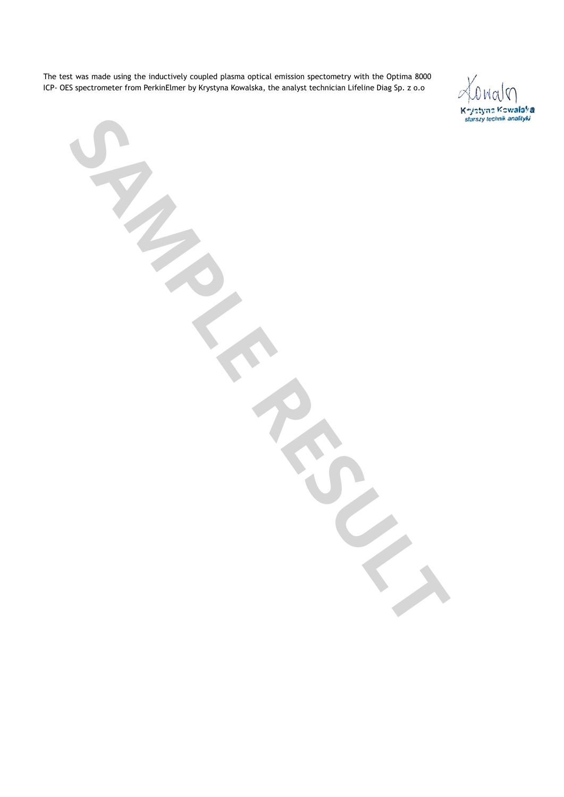The test was made using the inductively coupled plasma optical emission spectometry with the Optima 8000 ICP- OES spectrometer from PerkinElmer by Krystyna Kowalska, the analyst technician Lifeline Diag Sp. z o.o

Konalo Keyistyna Kowalaka<br>starszy technik analityki

**SAMPLE RESULTS**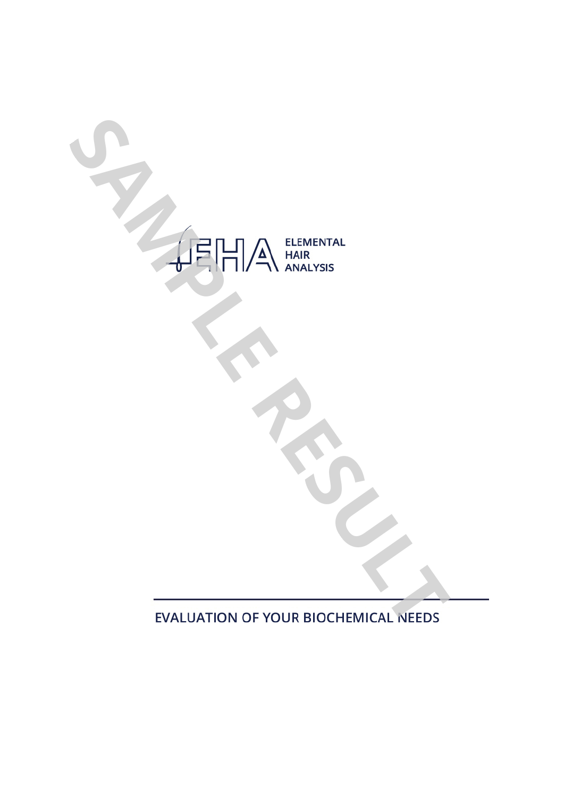

**EVALUATION OF YOUR BIOCHEMICAL NEEDS**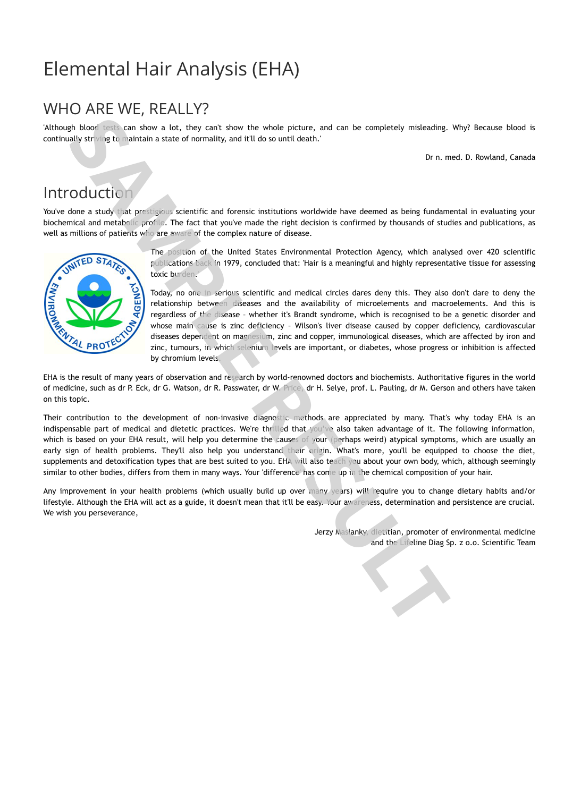# Elemental Hair Analysis (EHA)

# WHO ARE WE, REALLY?

'Although blood tests can show a lot, they can't show the whole picture, and can be completely misleading. Why? Because blood is continually striving to maintain a state of normality, and it'll do so until death.'

Dr n. med. D. Rowland, Canada

# **Introduction**

You've done a study that prestigious scientific and forensic institutions worldwide have deemed as being fundamental in evaluating your biochemical and metabolic profile. The fact that you've made the right decision is confirmed by thousands of studies and publications, as well as millions of patients who are aware of the complex nature of disease.



The position of the United States Environmental Protection Agency, which analysed over 420 scientific publications back in 1979, concluded that: 'Hair is a meaningful and highly representative tissue for assessing toxic burden.

Today, no one in serious scientific and medical circles dares deny this. They also don't dare to deny the relationship between diseases and the availability of microelements and macroelements. And this is regardless of the disease – whether it's Brandt syndrome, which is recognised to be a genetic disorder and whose main cause is zinc deficiency – Wilson's liver disease caused by copper deficiency, cardiovascular diseases dependent on magnesium, zinc and copper, immunological diseases, which are affected by iron and zinc, tumours, in which selenium levels are important, or diabetes, whose progress or inhibition is affected by chromium levels.

EHA is the result of many years of observation and research by world-renowned doctors and biochemists. Authoritative figures in the world of medicine, such as dr P. Eck, dr G. Watson, dr R. Passwater, dr W. Price, dr H. Selye, prof. L. Pauling, dr M. Gerson and others have taken on this topic.

Their contribution to the development of non-invasive diagnostic methods are appreciated by many. That's why today EHA is an indispensable part of medical and dietetic practices. We're thrilled that you've also taken advantage of it. The following information, which is based on your EHA result, will help you determine the causes of your (perhaps weird) atypical symptoms, which are usually an early sign of health problems. They'll also help you understand their origin. What's more, you'll be equipped to choose the diet, supplements and detoxification types that are best suited to you. EHA will also teach you about your own body, which, although seemingly similar to other bodies, differs from them in many ways. Your 'difference' has come up in the chemical composition of your hair. and the lifely can show the white internal of the completely metachine Whyl frecans boost the lifeline Sp. z o.o. Scientific Controller Controller Controller Controller Controller Controller Controller Controller Controlle

Any improvement in your health problems (which usually build up over many years) will require you to change dietary habits and/or lifestyle. Although the EHA will act as a guide, it doesn't mean that it'll be easy. Your awareness, determination and persistence are crucial. We wish you perseverance,

Jerzy Maslanky, dietitian, promoter of environmental medicine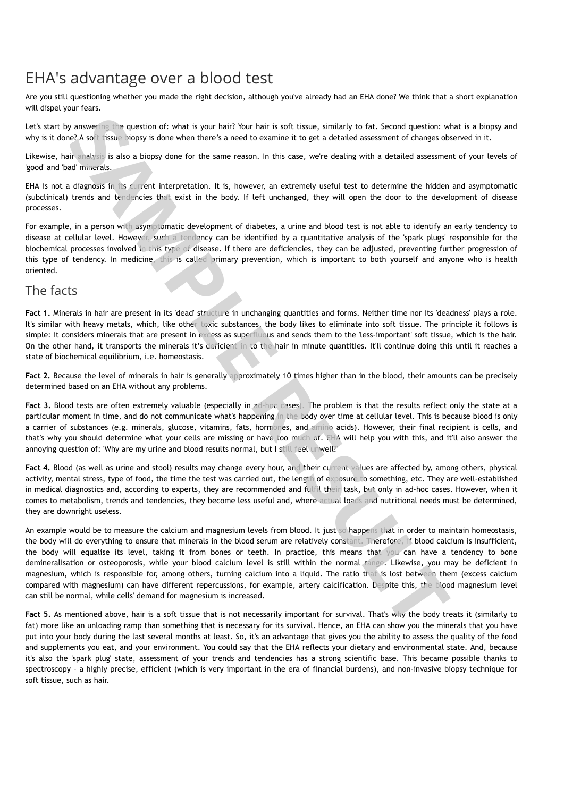# EHA's advantage over a blood test

Are you still questioning whether you made the right decision, although you've already had an EHA done? We think that a short explanation will dispel your fears.

Let's start by answering the question of: what is your hair? Your hair is soft tissue, similarly to fat. Second question: what is a biopsy and why is it done? A soft tissue biopsy is done when there's a need to examine it to get a detailed assessment of changes observed in it.

Likewise, hair analysis is also a biopsy done for the same reason. In this case, we're dealing with a detailed assessment of your levels of 'good' and 'bad' minerals.

EHA is not a diagnosis in its current interpretation. It is, however, an extremely useful test to determine the hidden and asymptomatic (subclinical) trends and tendencies that exist in the body. If left unchanged, they will open the door to the development of disease processes.

For example, in a person with asymptomatic development of diabetes, a urine and blood test is not able to identify an early tendency to disease at cellular level. However, such a tendency can be identified by a quantitative analysis of the 'spark plugs' responsible for the biochemical processes involved in this type of disease. If there are deficiencies, they can be adjusted, preventing further progression of this type of tendency. In medicine, this is called primary prevention, which is important to both yourself and anyone who is health oriented.

## The facts

**Fact 1.** Minerals in hair are present in its 'dead' structure in unchanging quantities and forms. Neither time nor its 'deadness' plays a role. It's similar with heavy metals, which, like other toxic substances, the body likes to eliminate into soft tissue. The principle it follows is simple: it considers minerals that are present in excess as superfluous and sends them to the 'less-important' soft tissue, which is the hair. On the other hand, it transports the minerals it's deficient in to the hair in minute quantities. It'll continue doing this until it reaches a state of biochemical equilibrium, i.e. homeostasis.

Fact 2. Because the level of minerals in hair is generally approximately 10 times higher than in the blood, their amounts can be precisely determined based on an EHA without any problems.

Fact 3. Blood tests are often extremely valuable (especially in ad-hoc cases). The problem is that the results reflect only the state at a particular moment in time, and do not communicate what's happening in the body over time at cellular level. This is because blood is only a carrier of substances (e.g. minerals, glucose, vitamins, fats, hormones, and amino acids). However, their final recipient is cells, and that's why you should determine what your cells are missing or have too much of. EHA will help you with this, and it'll also answer the annoying question of: 'Why are my urine and blood results normal, but I still feel unwell?'

**Fact 4.** Blood (as well as urine and stool) results may change every hour, and their current values are affected by, among others, physical activity, mental stress, type of food, the time the test was carried out, the length of exposure to something, etc. They are well-established in medical diagnostics and, according to experts, they are recommended and fulfil their task, but only in ad-hoc cases. However, when it comes to metabolism, trends and tendencies, they become less useful and, where actual loads and nutritional needs must be determined, they are downright useless.

An example would be to measure the calcium and magnesium levels from blood. It just so happens that in order to maintain homeostasis, the body will do everything to ensure that minerals in the blood serum are relatively constant. Therefore, if blood calcium is insufficient, the body will equalise its level, taking it from bones or teeth. In practice, this means that you can have a tendency to bone demineralisation or osteoporosis, while your blood calcium level is still within the normal range. Likewise, you may be deficient in magnesium, which is responsible for, among others, turning calcium into a liquid. The ratio that is lost between them (excess calcium compared with magnesium) can have different repercussions, for example, artery calcification. Despite this, the blood magnesium level can still be normal, while cells' demand for magnesium is increased. y answer are apertion of: what is your hair? Your har is soft issue, similarly to fat. Second question: While the same of chinese of the same for the same reason. In this case, were detailing with a detailed assessment of

Fact 5. As mentioned above, hair is a soft tissue that is not necessarily important for survival. That's why the body treats it (similarly to fat) more like an unloading ramp than something that is necessary for its survival. Hence, an EHA can show you the minerals that you have put into your body during the last several months at least. So, it's an advantage that gives you the ability to assess the quality of the food and supplements you eat, and your environment. You could say that the EHA reflects your dietary and environmental state. And, because it's also the 'spark plug' state, assessment of your trends and tendencies has a strong scientific base. This became possible thanks to spectroscopy – a highly precise, efficient (which is very important in the era of financial burdens), and non-invasive biopsy technique for soft tissue, such as hair.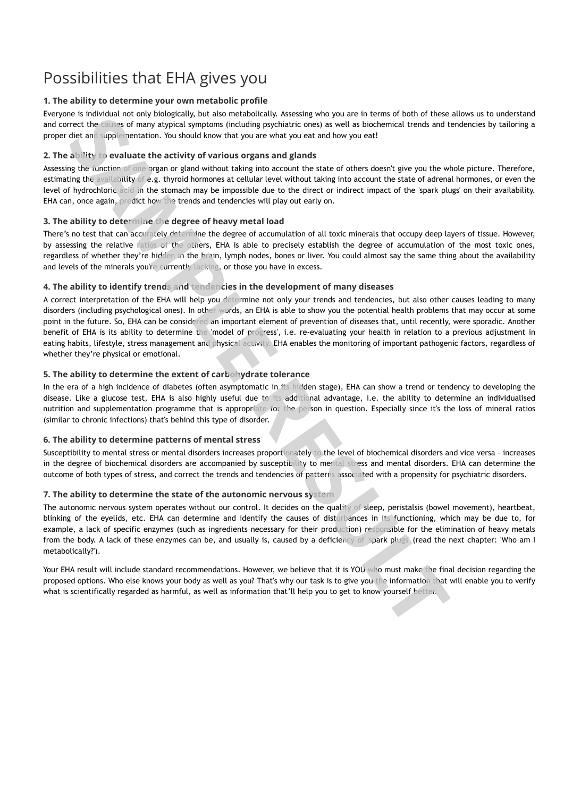# Possibilities that EHA gives you

### **1. The ability to determine your own metabolic profile**

Everyone is individual not only biologically, but also metabolically. Assessing who you are in terms of both of these allows us to understand and correct the causes of many atypical symptoms (including psychiatric ones) as well as biochemical trends and tendencies by tailoring a proper diet and supplementation. You should know that you are what you eat and how you eat!

## **2. The ability to evaluate the activity of various organs and glands**

Assessing the function of one organ or gland without taking into account the state of others doesn't give you the whole picture. Therefore, estimating the availability of e.g. thyroid hormones at cellular level without taking into account the state of adrenal hormones, or even the level of hydrochloric acid in the stomach may be impossible due to the direct or indirect impact of the 'spark plugs' on their availability. EHA can, once again, predict how the trends and tendencies will play out early on.

### **3. The ability to determine the degree of heavy metal load**

There's no test that can accurately determine the degree of accumulation of all toxic minerals that occupy deep layers of tissue. However, by assessing the relative ratios of the others, EHA is able to precisely establish the degree of accumulation of the most toxic ones, regardless of whether they're hidden in the brain, lymph nodes, bones or liver. You could almost say the same thing about the availability and levels of the minerals you're currently lacking, or those you have in excess.

### **4. The ability to identify trends and tendencies in the development of many diseases**

A correct interpretation of the EHA will help you determine not only your trends and tendencies, but also other causes leading to many disorders (including psychological ones). In other words, an EHA is able to show you the potential health problems that may occur at some point in the future. So, EHA can be considered an important element of prevention of diseases that, until recently, were sporadic. Another benefit of EHA is its ability to determine the 'model of progress', i.e. re-evaluating your health in relation to a previous adjustment in eating habits, lifestyle, stress management and physical activity. EHA enables the monitoring of important pathogenic factors, regardless of whether they're physical or emotional. ine the wave and the matter of the state of the state of the state of the state of the state of the state of the state of the state of the state of the state of the state of the state of the state of the state of the state

## **5. The ability to determine the extent of carbohydrate tolerance**

In the era of a high incidence of diabetes (often asymptomatic in its hidden stage), EHA can show a trend or tendency to developing the disease. Like a glucose test, EHA is also highly useful due to its additional advantage, i.e. the ability to determine an individualised nutrition and supplementation programme that is appropriate for the person in question. Especially since it's the loss of mineral ratios (similar to chronic infections) that's behind this type of disorder.

### **6. The ability to determine patterns of mental stress**

Susceptibility to mental stress or mental disorders increases proportionately to the level of biochemical disorders and vice versa – increases in the degree of biochemical disorders are accompanied by susceptibility to mental stress and mental disorders. EHA can determine the outcome of both types of stress, and correct the trends and tendencies of patterns associated with a propensity for psychiatric disorders.

## **7. The ability to determine the state of the autonomic nervous system**

The autonomic nervous system operates without our control. It decides on the quality of sleep, peristalsis (bowel movement), heartbeat, blinking of the eyelids, etc. EHA can determine and identify the causes of disturbances in its functioning, which may be due to, for example, a lack of specific enzymes (such as ingredients necessary for their production) responsible for the elimination of heavy metals from the body. A lack of these enzymes can be, and usually is, caused by a deficiency of 'spark plugs' (read the next chapter: 'Who am I metabolically?').

Your EHA result will include standard recommendations. However, we believe that it is YOU who must make the final decision regarding the proposed options. Who else knows your body as well as you? That's why our task is to give you the information that will enable you to verify what is scientifically regarded as harmful, as well as information that'll help you to get to know yourself better.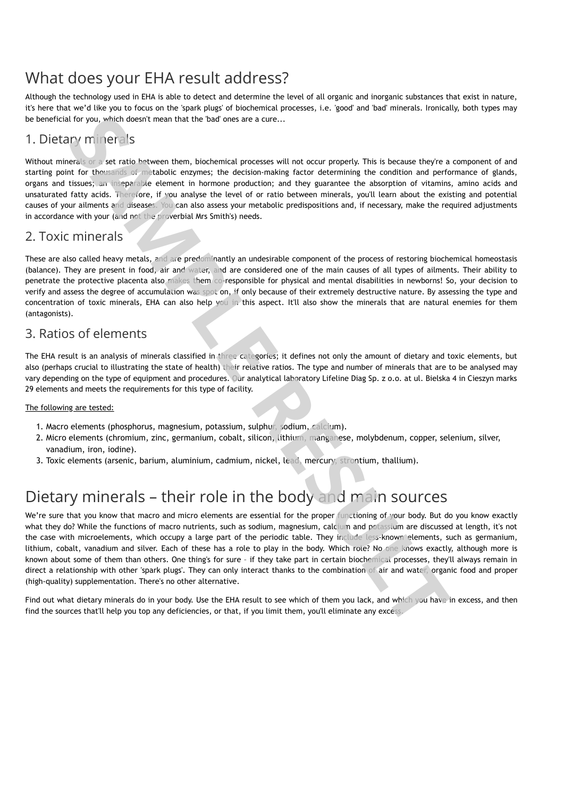# What does your EHA result address?

Although the technology used in EHA is able to detect and determine the level of all organic and inorganic substances that exist in nature, it's here that we'd like you to focus on the 'spark plugs' of biochemical processes, i.e. 'good' and 'bad' minerals. Ironically, both types may be beneficial for you, which doesn't mean that the 'bad' ones are a cure...

## 1. Dietary minerals

Without minerals or a set ratio between them, biochemical processes will not occur properly. This is because they're a component of and starting point for thousands of metabolic enzymes; the decision-making factor determining the condition and performance of glands, organs and tissues; an inseparable element in hormone production; and they guarantee the absorption of vitamins, amino acids and unsaturated fatty acids. Therefore, if you analyse the level of or ratio between minerals, you'll learn about the existing and potential causes of your ailments and diseases. You can also assess your metabolic predispositions and, if necessary, make the required adjustments in accordance with your (and not the proverbial Mrs Smith's) needs.

## 2. Toxic minerals

These are also called heavy metals, and are predominantly an undesirable component of the process of restoring biochemical homeostasis (balance). They are present in food, air and water, and are considered one of the main causes of all types of ailments. Their ability to penetrate the protective placenta also makes them co-responsible for physical and mental disabilities in newborns! So, your decision to verify and assess the degree of accumulation was spot on, if only because of their extremely destructive nature. By assessing the type and concentration of toxic minerals, EHA can also help you in this aspect. It'll also show the minerals that are natural enemies for them (antagonists).

## 3. Ratios of elements

The EHA result is an analysis of minerals classified in three categories; it defines not only the amount of dietary and toxic elements, but also (perhaps crucial to illustrating the state of health) their relative ratios. The type and number of minerals that are to be analysed may vary depending on the type of equipment and procedures. Our analytical laboratory Lifeline Diag Sp. z o.o. at ul. Bielska 4 in Cieszyn marks 29 elements and meets the requirements for this type of facility.

## The following are tested:

- 1. Macro elements (phosphorus, magnesium, potassium, sulphur, sodium, calcium).
- 2. Micro elements (chromium, zinc, germanium, cobalt, silicon, lithium, manganese, molybdenum, copper, selenium, silver, vanadium, iron, iodine).
- 3. Toxic elements (arsenic, barium, aluminium, cadmium, nickel, lead, mercury, strontium, thallium).

# Dietary minerals – their role in the body and main sources

We're sure that you know that macro and micro elements are essential for the proper functioning of your body. But do you know exactly what they do? While the functions of macro nutrients, such as sodium, magnesium, calcium and potassium are discussed at length, it's not the case with microelements, which occupy a large part of the periodic table. They include less-known elements, such as germanium, lithium, cobalt, vanadium and silver. Each of these has a role to play in the body. Which role? No one knows exactly, although more is known about some of them than others. One thing's for sure – if they take part in certain biochemical processes, they'll always remain in direct a relationship with other 'spark plugs'. They can only interact thanks to the combination of air and water, organic food and proper (high-quality) supplementation. There's no other alternative. Find the sources that doesn't mean that the bad'ones are a cure...<br>
1. Diet Car- (mi) in the <sup>1</sup> is the source them, bischerisch processes will not occur properly. This is because they constrained particle to the sources t

Find out what dietary minerals do in your body. Use the EHA result to see which of them you lack, and which you have in excess, and then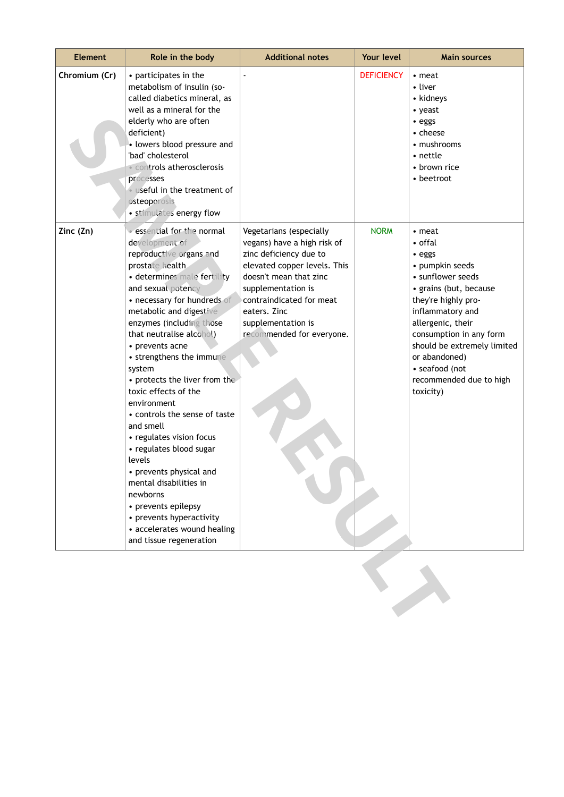| <b>Element</b> | Role in the body                                                                                                                                                                                                                                                                                                                                                                                                                                                                                                                                                                                                                                                                                | <b>Additional notes</b>                                                                                                                                                                                                                                         | Your level        | <b>Main sources</b>                                                                                                                                                                                                                                                                                |
|----------------|-------------------------------------------------------------------------------------------------------------------------------------------------------------------------------------------------------------------------------------------------------------------------------------------------------------------------------------------------------------------------------------------------------------------------------------------------------------------------------------------------------------------------------------------------------------------------------------------------------------------------------------------------------------------------------------------------|-----------------------------------------------------------------------------------------------------------------------------------------------------------------------------------------------------------------------------------------------------------------|-------------------|----------------------------------------------------------------------------------------------------------------------------------------------------------------------------------------------------------------------------------------------------------------------------------------------------|
| Chromium (Cr)  | • participates in the<br>metabolism of insulin (so-<br>called diabetics mineral, as<br>well as a mineral for the<br>elderly who are often<br>deficient)<br>• lowers blood pressure and<br>'bad' cholesterol<br><b>Controls atherosclerosis</b><br>processes<br>· useful in the treatment of<br>osteoporosis<br>· stimulates energy flow                                                                                                                                                                                                                                                                                                                                                         |                                                                                                                                                                                                                                                                 | <b>DEFICIENCY</b> | $\cdot$ meat<br>• liver<br>• kidneys<br>• yeast<br>• eggs<br>• cheese<br>• mushrooms<br>• nettle<br>• brown rice<br>• beetroot                                                                                                                                                                     |
| Zinc (Zn)      | · essential for the normal<br>development of<br>reproductive organs and<br>prostate health<br>· determines male fertility<br>and sexual potency<br>• necessary for hundreds of<br>metabolic and digestive<br>enzymes (including those<br>that neutralise alcohol)<br>• prevents acne<br>• strengthens the immune<br>system<br>• protects the liver from the<br>toxic effects of the<br>environment<br>• controls the sense of taste<br>and smell<br>• regulates vision focus<br>• regulates blood sugar<br>levels<br>• prevents physical and<br>mental disabilities in<br>newborns<br>• prevents epilepsy<br>• prevents hyperactivity<br>• accelerates wound healing<br>and tissue regeneration | Vegetarians (especially<br>vegans) have a high risk of<br>zinc deficiency due to<br>elevated copper levels. This<br>doesn't mean that zinc<br>supplementation is<br>contraindicated for meat<br>eaters. Zinc<br>supplementation is<br>recommended for everyone. | <b>NORM</b>       | • meat<br>• offal<br>· eggs<br>• pumpkin seeds<br>• sunflower seeds<br>· grains (but, because<br>they're highly pro-<br>inflammatory and<br>allergenic, their<br>consumption in any form<br>should be extremely limited<br>or abandoned)<br>· seafood (not<br>recommended due to high<br>toxicity) |
|                |                                                                                                                                                                                                                                                                                                                                                                                                                                                                                                                                                                                                                                                                                                 |                                                                                                                                                                                                                                                                 |                   |                                                                                                                                                                                                                                                                                                    |

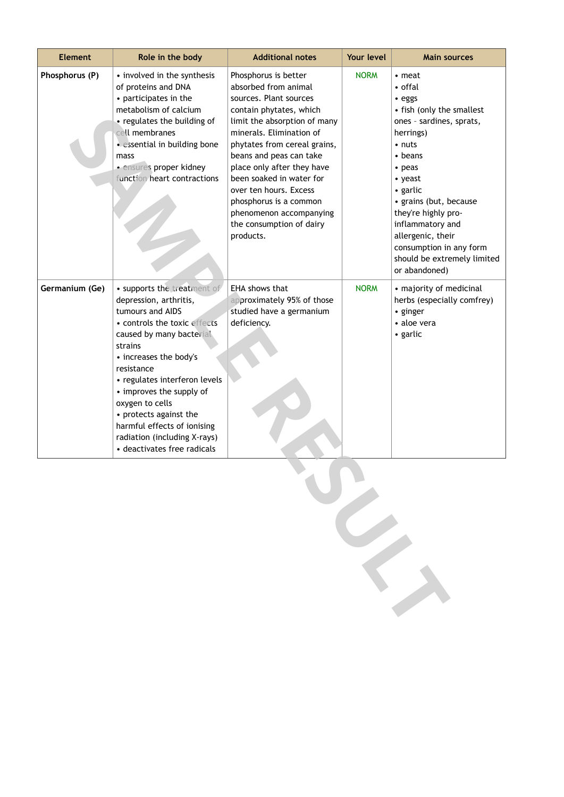| <b>Element</b> | Role in the body                                                                                                                                                                                                                                                                                                                                                                                 | <b>Additional notes</b>                                                                                                                                                                                                                                                                                                                                                                                    | Your level  | <b>Main sources</b>                                                                                                                                                                                                                                                                                                                                    |
|----------------|--------------------------------------------------------------------------------------------------------------------------------------------------------------------------------------------------------------------------------------------------------------------------------------------------------------------------------------------------------------------------------------------------|------------------------------------------------------------------------------------------------------------------------------------------------------------------------------------------------------------------------------------------------------------------------------------------------------------------------------------------------------------------------------------------------------------|-------------|--------------------------------------------------------------------------------------------------------------------------------------------------------------------------------------------------------------------------------------------------------------------------------------------------------------------------------------------------------|
| Phosphorus (P) | • involved in the synthesis<br>of proteins and DNA<br>• participates in the<br>metabolism of calcium<br>• regulates the building of<br>cell membranes<br>· essential in building bone<br>mass<br>· ensures proper kidney<br>function heart contractions                                                                                                                                          | Phosphorus is better<br>absorbed from animal<br>sources. Plant sources<br>contain phytates, which<br>limit the absorption of many<br>minerals. Elimination of<br>phytates from cereal grains,<br>beans and peas can take<br>place only after they have<br>been soaked in water for<br>over ten hours. Excess<br>phosphorus is a common<br>phenomenon accompanying<br>the consumption of dairy<br>products. | <b>NORM</b> | $\cdot$ meat<br>• offal<br>· eggs<br>• fish (only the smallest<br>ones - sardines, sprats,<br>herrings)<br>$\cdot$ nuts<br>$\bullet$ beans<br>$\cdot$ peas<br>• yeast<br>• garlic<br>• grains (but, because<br>they're highly pro-<br>inflammatory and<br>allergenic, their<br>consumption in any form<br>should be extremely limited<br>or abandoned) |
| Germanium (Ge) | · supports the treatment of<br>depression, arthritis,<br>tumours and AIDS<br>· controls the toxic effects<br>caused by many bacterial<br>strains<br>• increases the body's<br>resistance<br>• regulates interferon levels<br>• improves the supply of<br>oxygen to cells<br>• protects against the<br>harmful effects of ionising<br>radiation (including X-rays)<br>• deactivates free radicals | EHA shows that<br>approximately 95% of those<br>studied have a germanium<br>deficiency.                                                                                                                                                                                                                                                                                                                    | <b>NORM</b> | • majority of medicinal<br>herbs (especially comfrey)<br>• ginger<br>• aloe vera<br>• garlic                                                                                                                                                                                                                                                           |

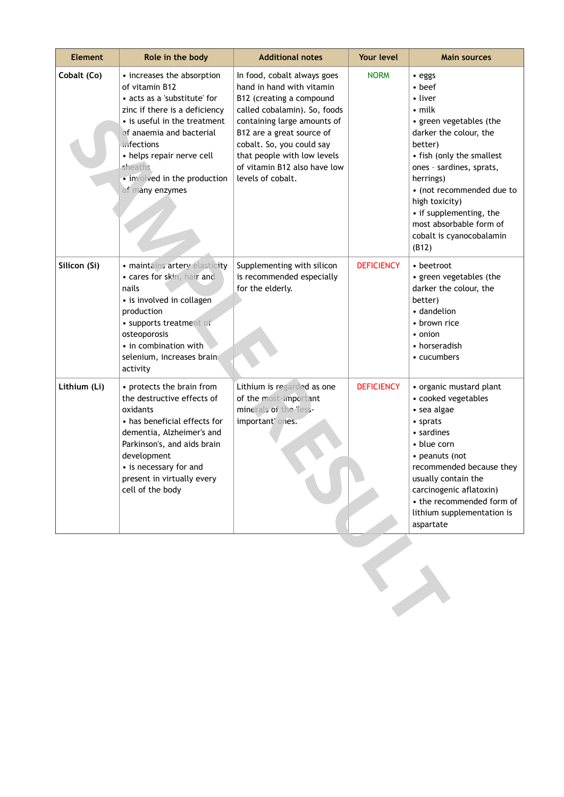| <b>Element</b> | Role in the body                                                                                                                                                                                                                                                                   | <b>Additional notes</b>                                                                                                                                                                                                                                                                           | Your level        | <b>Main sources</b>                                                                                                                                                                                                                                                                                                                 |
|----------------|------------------------------------------------------------------------------------------------------------------------------------------------------------------------------------------------------------------------------------------------------------------------------------|---------------------------------------------------------------------------------------------------------------------------------------------------------------------------------------------------------------------------------------------------------------------------------------------------|-------------------|-------------------------------------------------------------------------------------------------------------------------------------------------------------------------------------------------------------------------------------------------------------------------------------------------------------------------------------|
| Cobalt (Co)    | • increases the absorption<br>of vitamin B12<br>• acts as a 'substitute' for<br>zinc if there is a deficiency<br>• is useful in the treatment<br>of anaemia and bacterial<br>infections<br>• helps repair nerve cell<br>sheaths<br>• involved in the production<br>of many enzymes | In food, cobalt always goes<br>hand in hand with vitamin<br>B12 (creating a compound<br>called cobalamin). So, foods<br>containing large amounts of<br>B12 are a great source of<br>cobalt. So, you could say<br>that people with low levels<br>of vitamin B12 also have low<br>levels of cobalt. | <b>NORM</b>       | • eggs<br>$\bullet$ beef<br>• liver<br>$\cdot$ milk<br>• green vegetables (the<br>darker the colour, the<br>better)<br>• fish (only the smallest<br>ones - sardines, sprats,<br>herrings)<br>• (not recommended due to<br>high toxicity)<br>• if supplementing, the<br>most absorbable form of<br>cobalt is cyanocobalamin<br>(B12) |
| Silicon (Si)   | · maintains artery elasticity<br>· cares for skin, hair and<br>nails<br>• is involved in collagen<br>production<br>· supports treatment of<br>osteoporosis<br>• in combination with<br>selenium, increases brain<br>activity                                                       | Supplementing with silicon<br>is recommended especially<br>for the elderly.                                                                                                                                                                                                                       | <b>DEFICIENCY</b> | • beetroot<br>• green vegetables (the<br>darker the colour, the<br>better)<br>• dandelion<br>• brown rice<br>• onion<br>• horseradish<br>• cucumbers                                                                                                                                                                                |
| Lithium (Li)   | • protects the brain from<br>the destructive effects of<br>oxidants<br>• has beneficial effects for<br>dementia, Alzheimer's and<br>Parkinson's, and aids brain<br>development<br>• is necessary for and<br>present in virtually every<br>cell of the body                         | Lithium is regarded as one<br>of the most-important<br>minerals of the less-<br>important' ones.                                                                                                                                                                                                  | <b>DEFICIENCY</b> | • organic mustard plant<br>• cooked vegetables<br>• sea algae<br>• sprats<br>• sardines<br>• blue corn<br>• peanuts (not<br>recommended because they<br>usually contain the<br>carcinogenic aflatoxin)<br>• the recommended form of<br>lithium supplementation is<br>aspartate                                                      |
|                |                                                                                                                                                                                                                                                                                    |                                                                                                                                                                                                                                                                                                   |                   |                                                                                                                                                                                                                                                                                                                                     |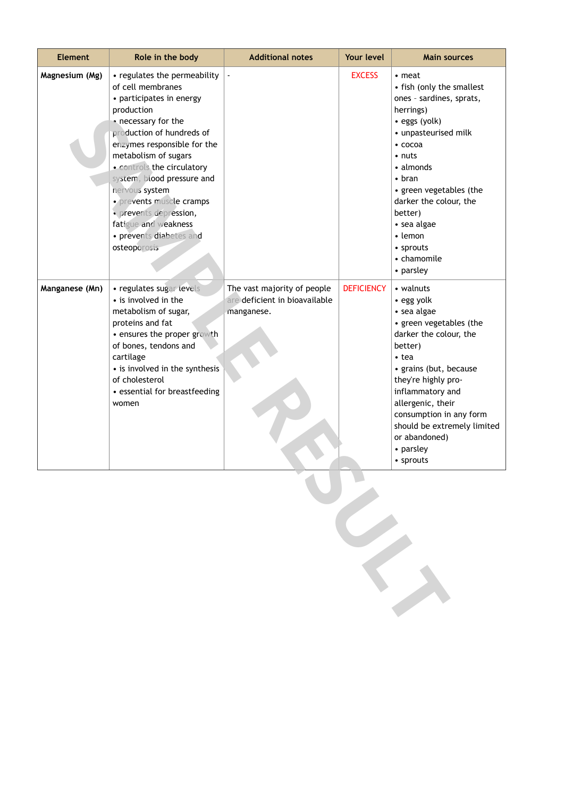| <b>Element</b> | Role in the body                                                                                                                                                                                                                                                                                                                                                                                              | <b>Additional notes</b>                                                    | Your level        | <b>Main sources</b>                                                                                                                                                                                                                                                                                                            |
|----------------|---------------------------------------------------------------------------------------------------------------------------------------------------------------------------------------------------------------------------------------------------------------------------------------------------------------------------------------------------------------------------------------------------------------|----------------------------------------------------------------------------|-------------------|--------------------------------------------------------------------------------------------------------------------------------------------------------------------------------------------------------------------------------------------------------------------------------------------------------------------------------|
| Magnesium (Mg) | • regulates the permeability<br>of cell membranes<br>• participates in energy<br>production<br>• necessary for the<br>production of hundreds of<br>enzymes responsible for the<br>metabolism of sugars<br>· controls the circulatory<br>system, blood pressure and<br>nervous system<br>· prevents muscle cramps<br>· prevents depression,<br>fatigue and weakness<br>• prevents diabetes and<br>osteoporosis |                                                                            | <b>EXCESS</b>     | $\cdot$ meat<br>• fish (only the smallest<br>ones - sardines, sprats,<br>herrings)<br>• eggs (yolk)<br>• unpasteurised milk<br>$\cdot$ cocoa<br>$\cdot$ nuts<br>• almonds<br>$\bullet$ bran<br>• green vegetables (the<br>darker the colour, the<br>better)<br>• sea algae<br>• lemon<br>• sprouts<br>• chamomile<br>• parsley |
| Manganese (Mn) | · regulates sugar levels<br>• is involved in the<br>metabolism of sugar,<br>proteins and fat<br>• ensures the proper growth<br>of bones, tendons and<br>cartilage<br>• is involved in the synthesis<br>of cholesterol<br>• essential for breastfeeding<br>women                                                                                                                                               | The vast majority of people<br>are deficient in bioavailable<br>manganese. | <b>DEFICIENCY</b> | • walnuts<br>• egg yolk<br>• sea algae<br>• green vegetables (the<br>darker the colour, the<br>better)<br>$\cdot$ tea<br>• grains (but, because<br>they're highly pro-<br>inflammatory and<br>allergenic, their<br>consumption in any form<br>should be extremely limited<br>or abandoned)<br>• parsley<br>• sprouts           |
|                |                                                                                                                                                                                                                                                                                                                                                                                                               |                                                                            |                   |                                                                                                                                                                                                                                                                                                                                |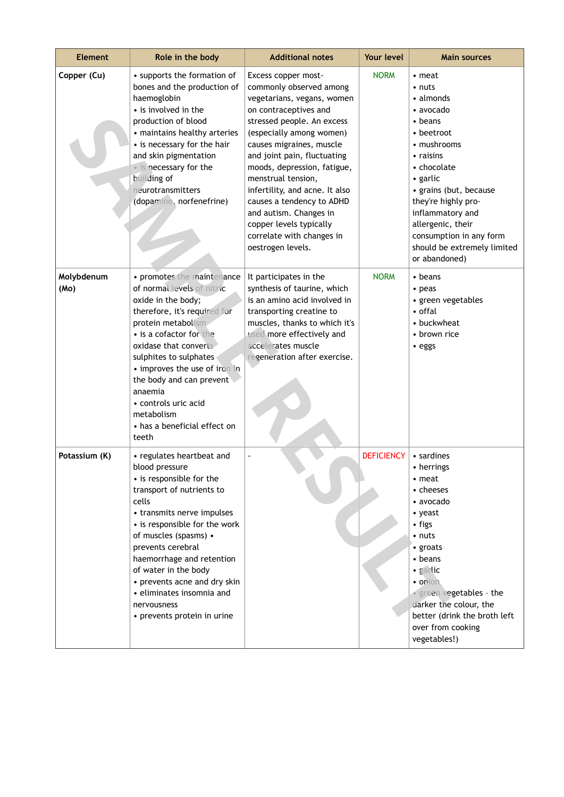| <b>Element</b>     | Role in the body                                                                                                                                                                                                                                                                                                                                                                           | <b>Additional notes</b>                                                                                                                                                                                                                                                                                                                                                                                                                               | Your level        | <b>Main sources</b>                                                                                                                                                                                                                                                                             |
|--------------------|--------------------------------------------------------------------------------------------------------------------------------------------------------------------------------------------------------------------------------------------------------------------------------------------------------------------------------------------------------------------------------------------|-------------------------------------------------------------------------------------------------------------------------------------------------------------------------------------------------------------------------------------------------------------------------------------------------------------------------------------------------------------------------------------------------------------------------------------------------------|-------------------|-------------------------------------------------------------------------------------------------------------------------------------------------------------------------------------------------------------------------------------------------------------------------------------------------|
| Copper (Cu)        | • supports the formation of<br>bones and the production of<br>haemoglobin<br>• is involved in the<br>production of blood<br>• maintains healthy arteries<br>• is necessary for the hair<br>and skin pigmentation<br>• is necessary for the<br>building of<br>neurotransmitters<br>(dopamine, norfenefrine)                                                                                 | Excess copper most-<br>commonly observed among<br>vegetarians, vegans, women<br>on contraceptives and<br>stressed people. An excess<br>(especially among women)<br>causes migraines, muscle<br>and joint pain, fluctuating<br>moods, depression, fatigue,<br>menstrual tension,<br>infertility, and acne. It also<br>causes a tendency to ADHD<br>and autism. Changes in<br>copper levels typically<br>correlate with changes in<br>oestrogen levels. | <b>NORM</b>       | • meat<br>• nuts<br>• almonds<br>• avocado<br>• beans<br>• beetroot<br>• mushrooms<br>• raisins<br>• chocolate<br>• garlic<br>• grains (but, because<br>they're highly pro-<br>inflammatory and<br>allergenic, their<br>consumption in any form<br>should be extremely limited<br>or abandoned) |
| Molybdenum<br>(Mo) | • promotes the maintenance<br>of normal levels of nitric<br>oxide in the body;<br>therefore, it's required for<br>protein metabolism<br>• is a cofactor for the<br>oxidase that converts<br>sulphites to sulphates<br>• improves the use of iron in<br>the body and can prevent<br>anaemia<br>• controls uric acid<br>metabolism<br>• has a beneficial effect on<br>teeth                  | It participates in the<br>synthesis of taurine, which<br>is an amino acid involved in<br>transporting creatine to<br>muscles, thanks to which it's<br>used more effectively and<br>accelerates muscle<br>regeneration after exercise.                                                                                                                                                                                                                 | <b>NORM</b>       | $\cdot$ beans<br>$\cdot$ peas<br>• green vegetables<br>• offal<br>• buckwheat<br>• brown rice<br>• eggs                                                                                                                                                                                         |
| Potassium (K)      | • regulates heartbeat and<br>blood pressure<br>• is responsible for the<br>transport of nutrients to<br>cells<br>• transmits nerve impulses<br>• is responsible for the work<br>of muscles (spasms) •<br>prevents cerebral<br>haemorrhage and retention<br>of water in the body<br>• prevents acne and dry skin<br>· eliminates insomnia and<br>nervousness<br>• prevents protein in urine |                                                                                                                                                                                                                                                                                                                                                                                                                                                       | <b>DEFICIENCY</b> | • sardines<br>• herrings<br>• meat<br>• cheeses<br>• avocado<br>• yeast<br>• figs<br>$\cdot$ nuts<br>• groats<br>• beans<br>· garlic<br>• onion<br>· green vegetables - the<br>darker the colour, the<br>better (drink the broth left<br>over from cooking<br>vegetables!)                      |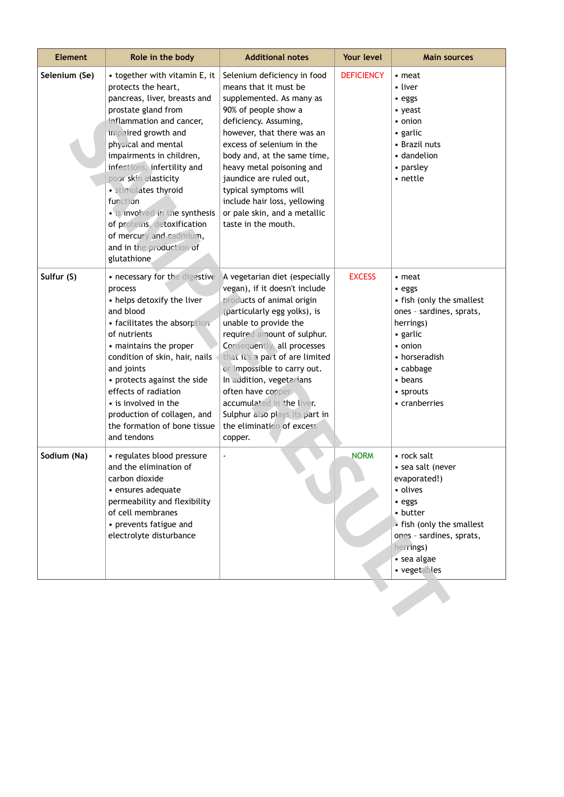| <b>Element</b> | Role in the body                                                                                                                                                                                                                                                                                                                                                                                                                                    | <b>Additional notes</b>                                                                                                                                                                                                                                                                                                                                                                                                                      | Your level        | <b>Main sources</b>                                                                                                                                                                     |
|----------------|-----------------------------------------------------------------------------------------------------------------------------------------------------------------------------------------------------------------------------------------------------------------------------------------------------------------------------------------------------------------------------------------------------------------------------------------------------|----------------------------------------------------------------------------------------------------------------------------------------------------------------------------------------------------------------------------------------------------------------------------------------------------------------------------------------------------------------------------------------------------------------------------------------------|-------------------|-----------------------------------------------------------------------------------------------------------------------------------------------------------------------------------------|
| Selenium (Se)  | • together with vitamin E, it<br>protects the heart,<br>pancreas, liver, breasts and<br>prostate gland from<br>inflammation and cancer,<br>impaired growth and<br>physical and mental<br>impairments in children,<br>infections, infertility and<br>poor skin elasticity<br>· stimulates thyroid<br>function<br>• is involved in the synthesis<br>of proteins, detoxification<br>of mercury and cadmium,<br>and in the production of<br>glutathione | Selenium deficiency in food<br>means that it must be<br>supplemented. As many as<br>90% of people show a<br>deficiency. Assuming,<br>however, that there was an<br>excess of selenium in the<br>body and, at the same time,<br>heavy metal poisoning and<br>jaundice are ruled out,<br>typical symptoms will<br>include hair loss, yellowing<br>or pale skin, and a metallic<br>taste in the mouth.                                          | <b>DEFICIENCY</b> | • meat<br>• liver<br>• eggs<br>• yeast<br>• onion<br>• garlic<br>• Brazil nuts<br>• dandelion<br>• parsley<br>• nettle                                                                  |
| Sulfur (S)     | • necessary for the digestive<br>process<br>• helps detoxify the liver<br>and blood<br>• facilitates the absorption<br>of nutrients<br>• maintains the proper<br>condition of skin, hair, nails<br>and joints<br>• protects against the side<br>effects of radiation<br>• is involved in the<br>production of collagen, and<br>the formation of bone tissue<br>and tendons                                                                          | A vegetarian diet (especially<br>vegan), if it doesn't include<br>products of animal origin<br>(particularly egg yolks), is<br>unable to provide the<br>required amount of sulphur.<br>Consequently, all processes<br>that it's a part of are limited<br>or impossible to carry out.<br>In addition, vegetarians<br>often have copper<br>accumulated in the liver.<br>Sulphur also plays its part in<br>the elimination of excess<br>copper. | <b>EXCESS</b>     | • meat<br>• eggs<br>• fish (only the smallest<br>ones - sardines, sprats,<br>herrings)<br>• garlic<br>• onion<br>• horseradish<br>• cabbage<br>• beans<br>• sprouts<br>• cranberries    |
| Sodium (Na)    | • regulates blood pressure<br>and the elimination of<br>carbon dioxide<br>· ensures adequate<br>permeability and flexibility<br>of cell membranes<br>• prevents fatigue and<br>electrolyte disturbance                                                                                                                                                                                                                                              |                                                                                                                                                                                                                                                                                                                                                                                                                                              | <b>NORM</b>       | • rock salt<br>• sea salt (never<br>evaporated!)<br>• olives<br>• eggs<br>• butter<br>• fish (only the smallest<br>ones - sardines, sprats,<br>herrings)<br>• sea algae<br>• vegetables |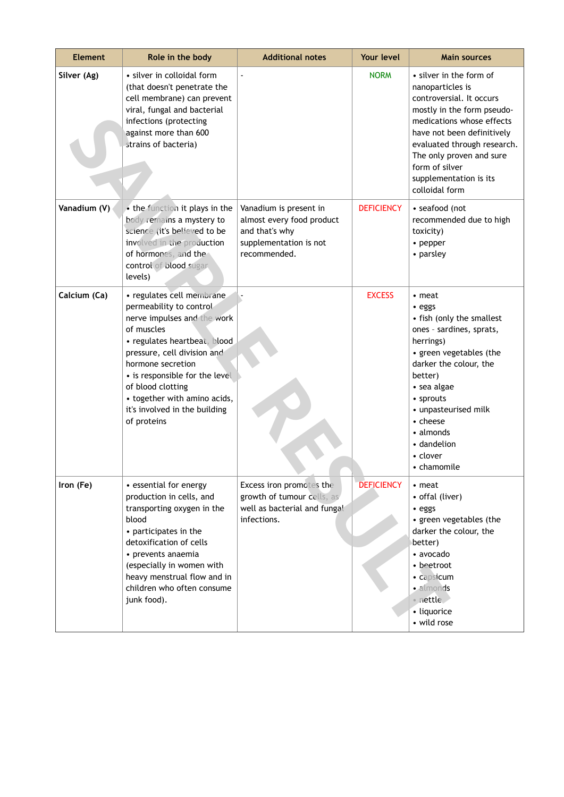| <b>Element</b> | Role in the body                                                                                                                                                                                                                                                                                                             | <b>Additional notes</b>                                                                                         | Your level        | <b>Main sources</b>                                                                                                                                                                                                                                                                       |
|----------------|------------------------------------------------------------------------------------------------------------------------------------------------------------------------------------------------------------------------------------------------------------------------------------------------------------------------------|-----------------------------------------------------------------------------------------------------------------|-------------------|-------------------------------------------------------------------------------------------------------------------------------------------------------------------------------------------------------------------------------------------------------------------------------------------|
| Silver (Ag)    | · silver in colloidal form<br>(that doesn't penetrate the<br>cell membrane) can prevent<br>viral, fungal and bacterial<br>infections (protecting<br>against more than 600<br>strains of bacteria)                                                                                                                            |                                                                                                                 | <b>NORM</b>       | • silver in the form of<br>nanoparticles is<br>controversial. It occurs<br>mostly in the form pseudo-<br>medications whose effects<br>have not been definitively<br>evaluated through research.<br>The only proven and sure<br>form of silver<br>supplementation is its<br>colloidal form |
| Vanadium (V)   | . the function it plays in the<br>body remains a mystery to<br>science (it's believed to be<br>involved in the production<br>of hormones, and the<br>control of blood sugar<br>levels)                                                                                                                                       | Vanadium is present in<br>almost every food product<br>and that's why<br>supplementation is not<br>recommended. | <b>DEFICIENCY</b> | • seafood (not<br>recommended due to high<br>toxicity)<br>• pepper<br>• parsley                                                                                                                                                                                                           |
| Calcium (Ca)   | · regulates cell membrane<br>permeability to control<br>nerve impulses and the work<br>of muscles<br>· regulates heartbeat, blood<br>pressure, cell division and<br>hormone secretion<br>• is responsible for the level<br>of blood clotting<br>• together with amino acids,<br>it's involved in the building<br>of proteins |                                                                                                                 | <b>EXCESS</b>     | $\cdot$ meat<br>• eggs<br>• fish (only the smallest<br>ones - sardines, sprats,<br>herrings)<br>• green vegetables (the<br>darker the colour, the<br>better)<br>• sea algae<br>• sprouts<br>• unpasteurised milk<br>• cheese<br>• almonds<br>• dandelion<br>• clover<br>$\cdot$ chamomile |
| Iron (Fe)      | • essential for energy<br>production in cells, and<br>transporting oxygen in the<br>blood<br>• participates in the<br>detoxification of cells<br>• prevents anaemia<br>(especially in women with<br>heavy menstrual flow and in<br>children who often consume<br>junk food).                                                 | Excess iron promotes the<br>growth of tumour cells, as<br>well as bacterial and fungal<br>infections.           | <b>DEFICIENCY</b> | • meat<br>• offal (liver)<br>• eggs<br>• green vegetables (the<br>darker the colour, the<br>better)<br>• avocado<br>• beetroot<br>• capsicum<br>· almonds<br>· nettle<br>· liquorice<br>• wild rose                                                                                       |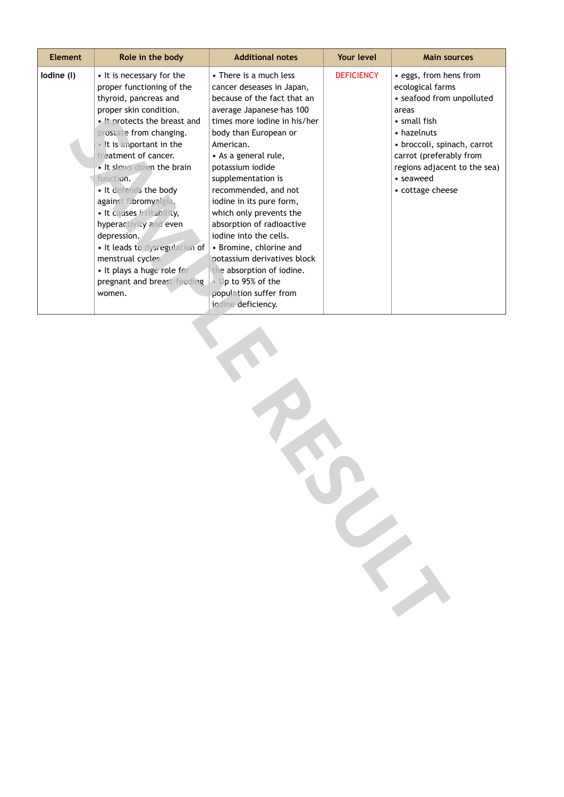| Element    | Role in the body                                                                                                                                                                                                                                                                                                                                                                                                                                                                                                         | <b>Additional notes</b>                                                                                                                                                                                                                                                                                                                                                                                                                                                                                                                                 | Your level        | <b>Main sources</b>                                                                                                                                                                                                                        |  |
|------------|--------------------------------------------------------------------------------------------------------------------------------------------------------------------------------------------------------------------------------------------------------------------------------------------------------------------------------------------------------------------------------------------------------------------------------------------------------------------------------------------------------------------------|---------------------------------------------------------------------------------------------------------------------------------------------------------------------------------------------------------------------------------------------------------------------------------------------------------------------------------------------------------------------------------------------------------------------------------------------------------------------------------------------------------------------------------------------------------|-------------------|--------------------------------------------------------------------------------------------------------------------------------------------------------------------------------------------------------------------------------------------|--|
| lodine (I) | • It is necessary for the<br>proper functioning of the<br>thyroid, pancreas and<br>proper skin condition.<br>. It protects the breast and<br>prostate from changing.<br>. It is important in the<br>treatment of cancer.<br>. It slows down the brain<br>function.<br>· It defends the body<br>against fibromyalgia.<br>· It causes irritability,<br>hyperactivity and even<br>depression.<br>· It leads to dysregulation of<br>menstrual cycles.<br>· It plays a huge role for<br>pregnant and breast-feeding<br>women. | • There is a much less<br>cancer deseases in Japan,<br>because of the fact that an<br>average Japanese has 100<br>times more iodine in his/her<br>body than European or<br>American.<br>• As a general rule,<br>potassium iodide<br>supplementation is<br>recommended, and not<br>iodine in its pure form,<br>which only prevents the<br>absorption of radioactive<br>iodine into the cells.<br>• Bromine, chlorine and<br>potassium derivatives block<br>the absorption of iodine.<br>Up to 95% of the<br>population suffer from<br>iodine deficiency. | <b>DEFICIENCY</b> | · eggs, from hens from<br>ecological farms<br>• seafood from unpolluted<br>areas<br>• small fish<br>• hazelnuts<br>• broccoli, spinach, carrot<br>carrot (preferably from<br>regions adjacent to the sea)<br>• seaweed<br>• cottage cheese |  |
|            |                                                                                                                                                                                                                                                                                                                                                                                                                                                                                                                          |                                                                                                                                                                                                                                                                                                                                                                                                                                                                                                                                                         |                   |                                                                                                                                                                                                                                            |  |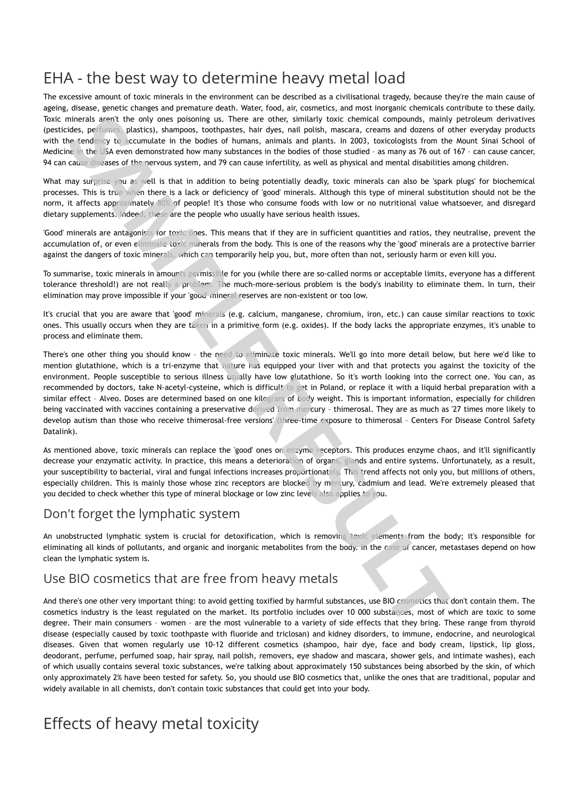The excessive amount of toxic minerals in the environment can be described as a civilisational tragedy, because they're the main cause of ageing, disease, genetic changes and premature death. Water, food, air, cosmetics, and most inorganic chemicals contribute to these daily. Toxic minerals aren't the only ones poisoning us. There are other, similarly toxic chemical compounds, mainly petroleum derivatives (pesticides, perfumes, plastics), shampoos, toothpastes, hair dyes, nail polish, mascara, creams and dozens of other everyday products with the tendency to accumulate in the bodies of humans, animals and plants. In 2003, toxicologists from the Mount Sinai School of Medicine in the USA even demonstrated how many substances in the bodies of those studied – as many as 76 out of 167 – can cause cancer, 94 can cause diseases of the nervous system, and 79 can cause infertility, as well as physical and mental disabilities among children.

What may surprise you as well is that in addition to being potentially deadly, toxic minerals can also be 'spark plugs' for biochemical processes. This is true when there is a lack or deficiency of 'good' minerals. Although this type of mineral substitution should not be the norm, it affects approximately 80% of people! It's those who consume foods with low or no nutritional value whatsoever, and disregard dietary supplements. Indeed, these are the people who usually have serious health issues.

'Good' minerals are antagonists for toxic ones. This means that if they are in sufficient quantities and ratios, they neutralise, prevent the accumulation of, or even eliminate toxic minerals from the body. This is one of the reasons why the 'good' minerals are a protective barrier against the dangers of toxic minerals, which can temporarily help you, but, more often than not, seriously harm or even kill you.

To summarise, toxic minerals in amounts permissible for you (while there are so-called norms or acceptable limits, everyone has a different tolerance threshold!) are not really a problem. The much-more-serious problem is the body's inability to eliminate them. In turn, their elimination may prove impossible if your 'good' mineral reserves are non-existent or too low.

It's crucial that you are aware that 'good' minerals (e.g. calcium, manganese, chromium, iron, etc.) can cause similar reactions to toxic ones. This usually occurs when they are taken in a primitive form (e.g. oxides). If the body lacks the appropriate enzymes, it's unable to process and eliminate them.

There's one other thing you should know – the need to eliminate toxic minerals. We'll go into more detail below, but here we'd like to mention glutathione, which is a tri-enzyme that nature has equipped your liver with and that protects you against the toxicity of the environment. People susceptible to serious illness usually have low glutathione. So it's worth looking into the correct one. You can, as recommended by doctors, take N-acetyl-cysteine, which is difficult to get in Poland, or replace it with a liquid herbal preparation with a similar effect - Alveo. Doses are determined based on one kilogram of body weight. This is important information, especially for children being vaccinated with vaccines containing a preservative derived from mercury – thimerosal. They are as much as '27 times more likely to develop autism than those who receive thimerosal-free versions' (three-time exposure to thimerosal – Centers For Disease Control Safety Datalink). minerals agent the only one possionis us. There are other, similarly touch colemnation components, mainty the control of the case of the case of the case of the case of the case of the case of the case of the case of the c

As mentioned above, toxic minerals can replace the 'good' ones on enzyme receptors. This produces enzyme chaos, and it'll significantly decrease your enzymatic activity. In practice, this means a deterioration of organs, glands and entire systems. Unfortunately, as a result, your susceptibility to bacterial, viral and fungal infections increases proportionately. This trend affects not only you, but millions of others, especially children. This is mainly those whose zinc receptors are blocked by mercury, cadmium and lead. We're extremely pleased that you decided to check whether this type of mineral blockage or low zinc levels also applies to you.

## Don't forget the lymphatic system

An unobstructed lymphatic system is crucial for detoxification, which is removing toxic elements from the body; it's responsible for eliminating all kinds of pollutants, and organic and inorganic metabolites from the body. In the case of cancer, metastases depend on how clean the lymphatic system is.

## Use BIO cosmetics that are free from heavy metals

And there's one other very important thing: to avoid getting toxified by harmful substances, use BIO cosmetics that don't contain them. The cosmetics industry is the least regulated on the market. Its portfolio includes over 10 000 substances, most of which are toxic to some degree. Their main consumers – women – are the most vulnerable to a variety of side effects that they bring. These range from thyroid disease (especially caused by toxic toothpaste with fluoride and triclosan) and kidney disorders, to immune, endocrine, and neurological diseases. Given that women regularly use 10-12 different cosmetics (shampoo, hair dye, face and body cream, lipstick, lip gloss, deodorant, perfume, perfumed soap, hair spray, nail polish, removers, eye shadow and mascara, shower gels, and intimate washes), each of which usually contains several toxic substances, we're talking about approximately 150 substances being absorbed by the skin, of which only approximately 2% have been tested for safety. So, you should use BIO cosmetics that, unlike the ones that are traditional, popular and widely available in all chemists, don't contain toxic substances that could get into your body.

# Effects of heavy metal toxicity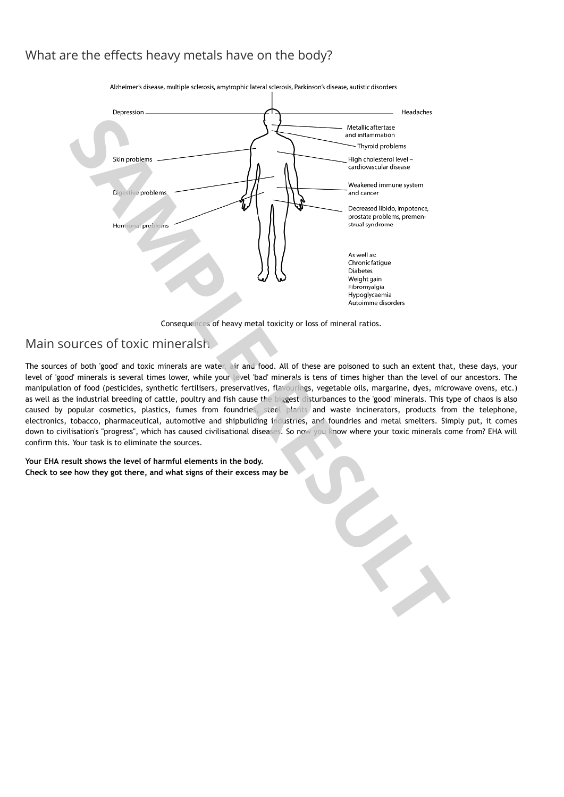## What are the effects heavy metals have on the body?



Consequences of heavy metal toxicity or loss of mineral ratios.

## Main sources of toxic mineralsh

The sources of both 'good' and toxic minerals are water, air and food. All of these are poisoned to such an extent that, these days, your level of 'good' minerals is several times lower, while your level 'bad' minerals is tens of times higher than the level of our ancestors. The manipulation of food (pesticides, synthetic fertilisers, preservatives, flavourings, vegetable oils, margarine, dyes, microwave ovens, etc.) as well as the industrial breeding of cattle, poultry and fish cause the biggest disturbances to the 'good' minerals. This type of chaos is also caused by popular cosmetics, plastics, fumes from foundries, steel plants and waste incinerators, products from the telephone, electronics, tobacco, pharmaceutical, automotive and shipbuilding industries, and foundries and metal smelters. Simply put, it comes down to civilisation's "progress", which has caused civilisational diseases. So now you know where your toxic minerals come from? EHA will confirm this. Your task is to eliminate the sources.

**Your EHA result shows the level of harmful elements in the body.**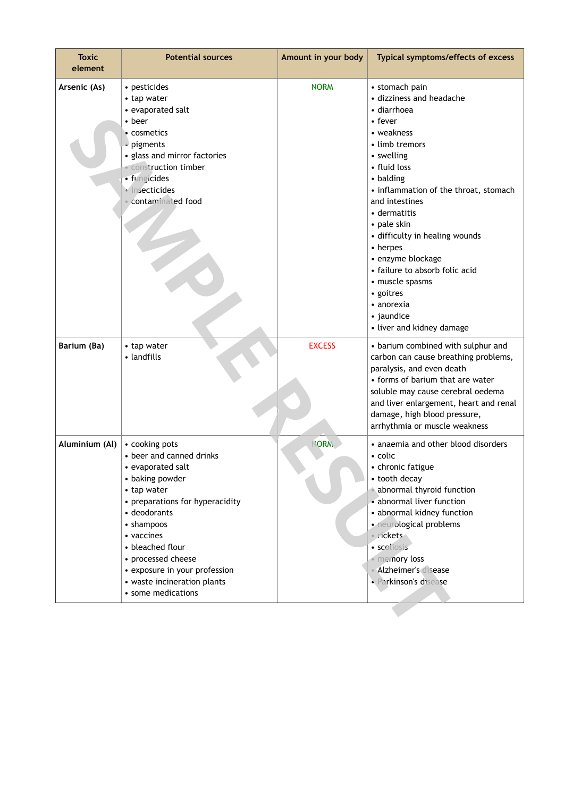| <b>Toxic</b><br>element | <b>Potential sources</b>                                                                                                                                                                                                                                                                                         | Amount in your body | Typical symptoms/effects of excess                                                                                                                                                                                                                                                                                                                                                                                                                    |
|-------------------------|------------------------------------------------------------------------------------------------------------------------------------------------------------------------------------------------------------------------------------------------------------------------------------------------------------------|---------------------|-------------------------------------------------------------------------------------------------------------------------------------------------------------------------------------------------------------------------------------------------------------------------------------------------------------------------------------------------------------------------------------------------------------------------------------------------------|
| Arsenic (As)            | • pesticides<br>• tap water<br>• evaporated salt<br>• beer<br>• cosmetics<br>• pigments<br>• glass and mirror factories<br>· construction timber<br>· fungicides<br>· insecticides<br>contaminated food                                                                                                          | <b>NORM</b>         | • stomach pain<br>• dizziness and headache<br>• diarrhoea<br>$\cdot$ fever<br>• weakness<br>• limb tremors<br>• swelling<br>• fluid loss<br>• balding<br>• inflammation of the throat, stomach<br>and intestines<br>• dermatitis<br>• pale skin<br>• difficulty in healing wounds<br>• herpes<br>• enzyme blockage<br>• failure to absorb folic acid<br>• muscle spasms<br>• goitres<br>$\bullet$ anorexia<br>• jaundice<br>• liver and kidney damage |
| Barium (Ba)             | • tap water<br>• landfills                                                                                                                                                                                                                                                                                       | <b>EXCESS</b>       | • barium combined with sulphur and<br>carbon can cause breathing problems,<br>paralysis, and even death<br>• forms of barium that are water<br>soluble may cause cerebral oedema<br>and liver enlargement, heart and renal<br>damage, high blood pressure,<br>arrhythmia or muscle weakness                                                                                                                                                           |
| Aluminium (Al)          | • cooking pots<br>• beer and canned drinks<br>• evaporated salt<br>• baking powder<br>• tap water<br>• preparations for hyperacidity<br>• deodorants<br>• shampoos<br>• vaccines<br>• bleached flour<br>• processed cheese<br>• exposure in your profession<br>• waste incineration plants<br>• some medications | <b>NORM</b>         | • anaemia and other blood disorders<br>• colic<br>• chronic fatigue<br>• tooth decay<br>abnormal thyroid function<br>• abnormal liver function<br>• abnormal kidney function<br>· neurological problems<br>· rickets<br>· scoliosis<br>· memory loss<br>• Alzheimer's disease<br>· Parkinson's disease                                                                                                                                                |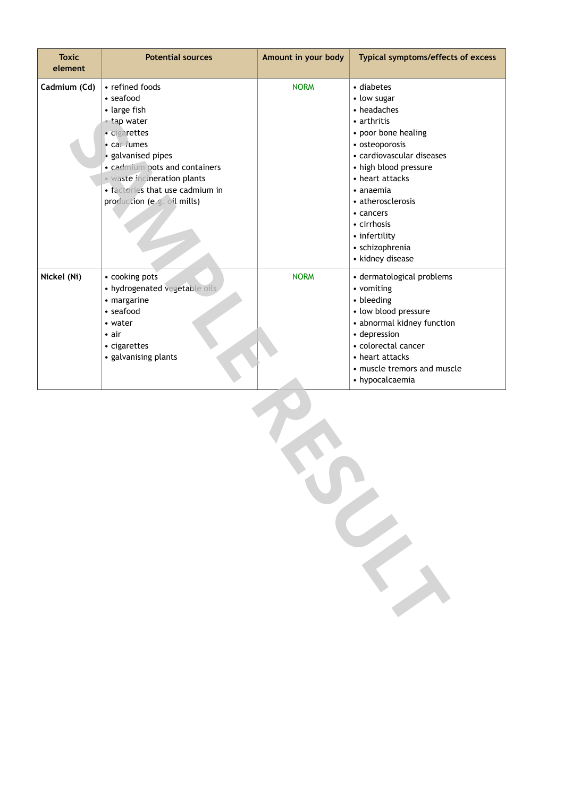| <b>Toxic</b><br>element | <b>Potential sources</b>                                                                                                                                                                                                                         | Amount in your body | Typical symptoms/effects of excess                                                                                                                                                                                                                                                              |  |  |
|-------------------------|--------------------------------------------------------------------------------------------------------------------------------------------------------------------------------------------------------------------------------------------------|---------------------|-------------------------------------------------------------------------------------------------------------------------------------------------------------------------------------------------------------------------------------------------------------------------------------------------|--|--|
| Cadmium (Cd)            | • refined foods<br>· seafood<br>• large fish<br>• tap water<br>· cigarettes<br>• car fumes<br>galvanised pipes<br>· cadmium pots and containers<br>· waste incineration plants<br>· factories that use cadmium in<br>production (e.g. oil mills) | <b>NORM</b>         | • diabetes<br>• low sugar<br>• headaches<br>• arthritis<br>• poor bone healing<br>• osteoporosis<br>• cardiovascular diseases<br>• high blood pressure<br>• heart attacks<br>• anaemia<br>• atherosclerosis<br>• cancers<br>• cirrhosis<br>• infertility<br>• schizophrenia<br>• kidney disease |  |  |
| Nickel (Ni)             | • cooking pots<br>· hydrogenated vegetable oils<br>• margarine<br>• seafood<br>• water<br>$\bullet$ air<br>• cigarettes<br>• galvanising plants                                                                                                  | <b>NORM</b>         | • dermatological problems<br>• vomiting<br>• bleeding<br>• low blood pressure<br>• abnormal kidney function<br>· depression<br>• colorectal cancer<br>• heart attacks<br>• muscle tremors and muscle<br>• hypocalcaemia                                                                         |  |  |
|                         |                                                                                                                                                                                                                                                  |                     |                                                                                                                                                                                                                                                                                                 |  |  |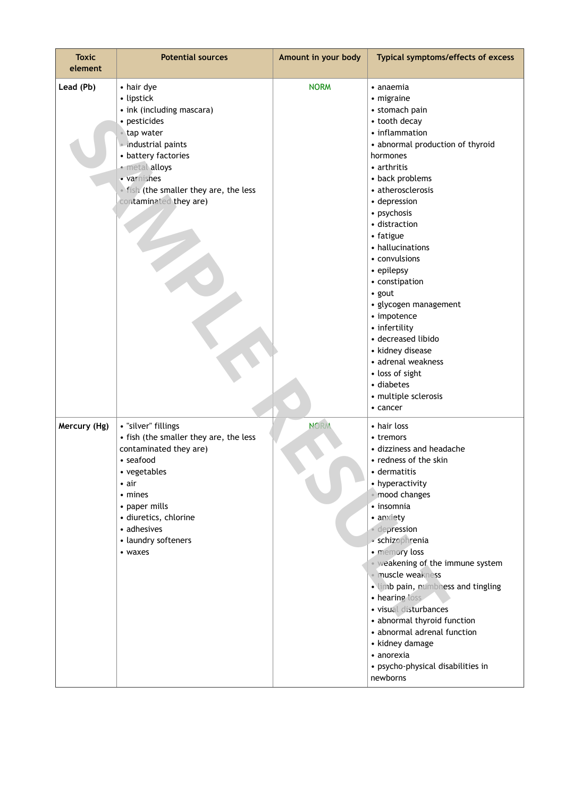| <b>Toxic</b><br>element | <b>Potential sources</b>                                                                                                                                                                                                                    | Amount in your body | Typical symptoms/effects of excess                                                                                                                                                                                                                                                                                                                                                                                                                                                                                                    |
|-------------------------|---------------------------------------------------------------------------------------------------------------------------------------------------------------------------------------------------------------------------------------------|---------------------|---------------------------------------------------------------------------------------------------------------------------------------------------------------------------------------------------------------------------------------------------------------------------------------------------------------------------------------------------------------------------------------------------------------------------------------------------------------------------------------------------------------------------------------|
| Lead (Pb)               | • hair dye<br>• lipstick<br>• ink (including mascara)<br>· pesticides<br>• tap water<br>industrial paints<br>• battery factories<br>· metal alloys<br>· varnishes<br>. fish (the smaller they are, the less<br>contaminated they are)       | <b>NORM</b>         | $\bullet$ anaemia<br>• migraine<br>• stomach pain<br>• tooth decay<br>• inflammation<br>• abnormal production of thyroid<br>hormones<br>• arthritis<br>• back problems<br>• atherosclerosis<br>• depression<br>• psychosis<br>· distraction<br>• fatigue<br>• hallucinations<br>• convulsions<br>• epilepsy<br>• constipation<br>• gout<br>· glycogen management<br>• impotence<br>• infertility<br>· decreased libido<br>• kidney disease<br>• adrenal weakness<br>• loss of sight<br>• diabetes<br>• multiple sclerosis<br>• cancer |
| Mercury (Hg)            | · "silver" fillings<br>• fish (the smaller they are, the less<br>contaminated they are)<br>• seafood<br>• vegetables<br>$\bullet$ air<br>• mines<br>• paper mills<br>· diuretics, chlorine<br>• adhesives<br>• laundry softeners<br>• waxes | <b>NORM</b>         | • hair loss<br>• tremors<br>• dizziness and headache<br>• redness of the skin<br>• dermatitis<br>• hyperactivity<br>· mood changes<br>· insomnia<br>• anxiety<br>depression<br>ó.<br>· schizophrenia<br>· memory loss<br>· weakening of the immune system<br>· muscle weakness<br>· limb pain, numbriess and tingling<br>• hearing loss<br>· visual disturbances<br>• abnormal thyroid function<br>• abnormal adrenal function<br>• kidney damage<br>• anorexia<br>• psycho-physical disabilities in<br>newborns                      |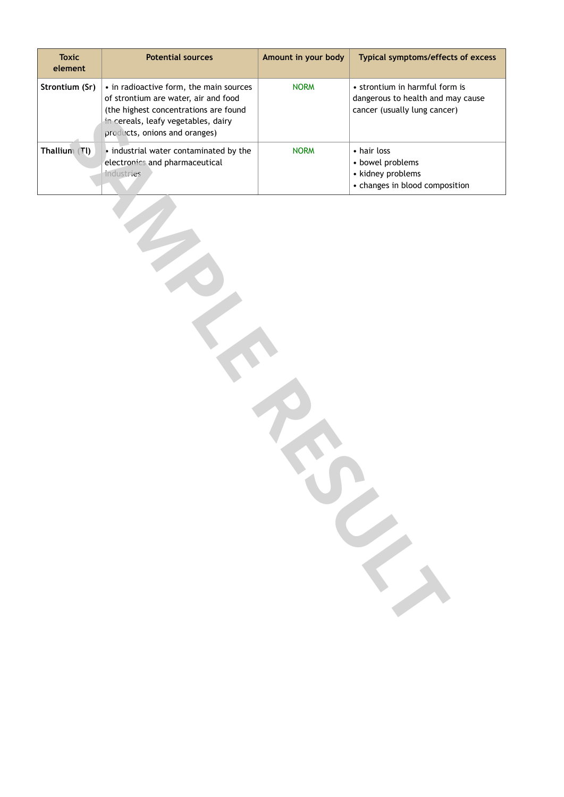| <b>Toxic</b><br>element | <b>Potential sources</b>                                                                                                                                                                         | Amount in your body | Typical symptoms/effects of excess                                                                  |
|-------------------------|--------------------------------------------------------------------------------------------------------------------------------------------------------------------------------------------------|---------------------|-----------------------------------------------------------------------------------------------------|
| Strontium (Sr)          | • in radioactive form, the main sources<br>of strontium are water, air and food<br>(the highest concentrations are found<br>in cereals, leafy vegetables, dairy<br>products, onions and oranges) | <b>NORM</b>         | • strontium in harmful form is<br>dangerous to health and may cause<br>cancer (usually lung cancer) |
| Thallium (TI)           | • industrial water contaminated by the<br>electronics and pharmaceutical<br>industries                                                                                                           | <b>NORM</b>         | • hair loss<br>• bowel problems<br>• kidney problems<br>• changes in blood composition              |
|                         |                                                                                                                                                                                                  |                     |                                                                                                     |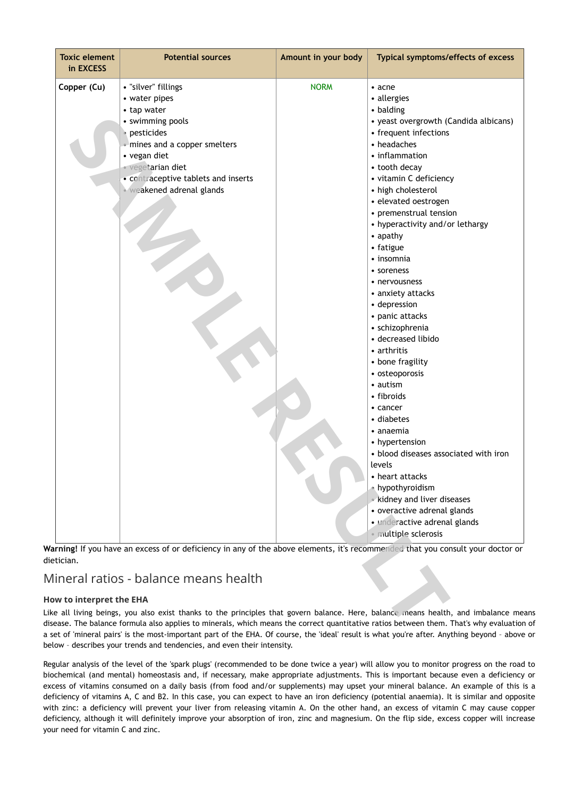| <b>Toxic element</b><br>in EXCESS | <b>Potential sources</b>                                                                                                                                                                                                             | Amount in your body | Typical symptoms/effects of excess                                                                                                                                                                                                                                                                                                                                                                                                                                                                                                                                                                                                                                                                                                                                                                                               |
|-----------------------------------|--------------------------------------------------------------------------------------------------------------------------------------------------------------------------------------------------------------------------------------|---------------------|----------------------------------------------------------------------------------------------------------------------------------------------------------------------------------------------------------------------------------------------------------------------------------------------------------------------------------------------------------------------------------------------------------------------------------------------------------------------------------------------------------------------------------------------------------------------------------------------------------------------------------------------------------------------------------------------------------------------------------------------------------------------------------------------------------------------------------|
| Copper (Cu)                       | • "silver" fillings<br>• water pipes<br>• tap water<br>• swimming pools<br>pesticides<br>. mines and a copper smelters<br>• vegan diet<br>· Vegetarian diet<br>• contraceptive tablets and inserts<br><b>Weakened adrenal glands</b> | <b>NORM</b>         | $\bullet$ acne<br>• allergies<br>• balding<br>• yeast overgrowth (Candida albicans)<br>• frequent infections<br>• headaches<br>• inflammation<br>• tooth decay<br>• vitamin C deficiency<br>• high cholesterol<br>· elevated oestrogen<br>• premenstrual tension<br>• hyperactivity and/or lethargy<br>• apathy<br>• fatigue<br>• insomnia<br>• soreness<br>• nervousness<br>• anxiety attacks<br>• depression<br>• panic attacks<br>· schizophrenia<br>• decreased libido<br>• arthritis<br>• bone fragility<br>• osteoporosis<br>• autism<br>• fibroids<br>• cancer<br>• diabetes<br>• anaemia<br>• hypertension<br>• blood diseases associated with iron<br>levels<br>• heart attacks<br>• hypothyroidism<br>kidney and liver diseases<br>• overactive adrenal glands<br>· underactive adrenal glands<br>· multiple sclerosis |
| etician.                          |                                                                                                                                                                                                                                      |                     | arning! If you have an excess of or deficiency in any of the above elements, it's recommended that you consult your doctor or                                                                                                                                                                                                                                                                                                                                                                                                                                                                                                                                                                                                                                                                                                    |
|                                   | 1ineral ratios - balance means health                                                                                                                                                                                                |                     |                                                                                                                                                                                                                                                                                                                                                                                                                                                                                                                                                                                                                                                                                                                                                                                                                                  |
| ow to interpret the EHA           |                                                                                                                                                                                                                                      |                     | ke all living beings, you also exist thanks to the principles that govern balance. Here, balance means health, and imbalance me<br>sease. The balance formula also applies to minerals, which means the correct quantitative ratios between them. That's why evaluatior                                                                                                                                                                                                                                                                                                                                                                                                                                                                                                                                                          |

## Mineral ratios - balance means health

### **How to interpret the EHA**

Like all living beings, you also exist thanks to the principles that govern balance. Here, balance means health, and imbalance means disease. The balance formula also applies to minerals, which means the correct quantitative ratios between them. That's why evaluation of a set of 'mineral pairs' is the most-important part of the EHA. Of course, the 'ideal' result is what you're after. Anything beyond – above or below – describes your trends and tendencies, and even their intensity.

Regular analysis of the level of the 'spark plugs' (recommended to be done twice a year) will allow you to monitor progress on the road to biochemical (and mental) homeostasis and, if necessary, make appropriate adjustments. This is important because even a deficiency or excess of vitamins consumed on a daily basis (from food and/or supplements) may upset your mineral balance. An example of this is a deficiency of vitamins A, C and B2. In this case, you can expect to have an iron deficiency (potential anaemia). It is similar and opposite with zinc: a deficiency will prevent your liver from releasing vitamin A. On the other hand, an excess of vitamin C may cause copper deficiency, although it will definitely improve your absorption of iron, zinc and magnesium. On the flip side, excess copper will increase your need for vitamin C and zinc.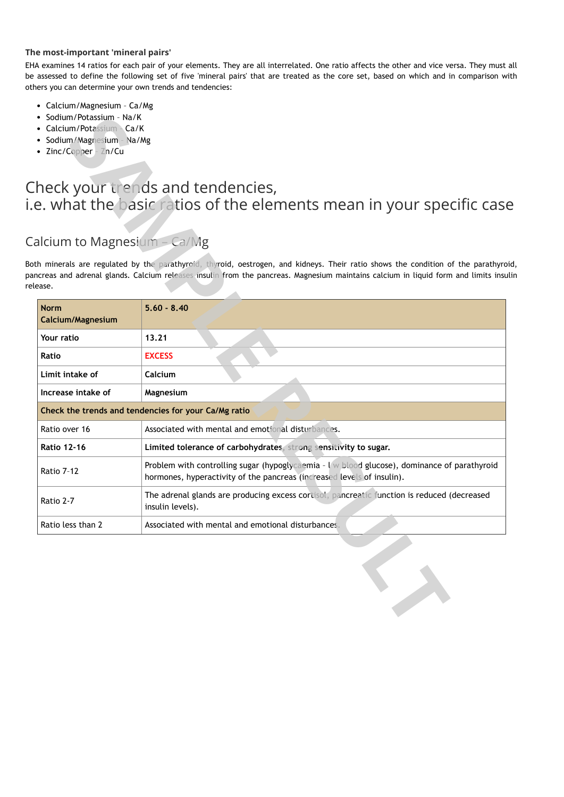### **The most-important 'mineral pairs'**

EHA examines 14 ratios for each pair of your elements. They are all interrelated. One ratio affects the other and vice versa. They must all be assessed to define the following set of five 'mineral pairs' that are treated as the core set, based on which and in comparison with others you can determine your own trends and tendencies:

- Calcium/Magnesium Ca/Mg
- Sodium/Potassium Na/K
- Calcium/Potassium Ca/K
- Sodium/Magnesium Na/Mg
- Zinc/Copper Zn/Cu

# Check your trends and tendencies, i.e. what the basic ratios of the elements mean in your specific case

## Calcium to Magnesium – Ca/Mg

| • Sodium/Potassium - Na/K<br>• Calcium/Potassium - Ca/K<br>· Sodium/Magnesium - Na/Mg<br>• Zinc/Copper - $Zn/Cu$ |                                                                                                                                                                                                                                                                      |
|------------------------------------------------------------------------------------------------------------------|----------------------------------------------------------------------------------------------------------------------------------------------------------------------------------------------------------------------------------------------------------------------|
| alcium to Magnesium – Ca/Mg                                                                                      | heck your trends and tendencies,<br>e. what the basic ratios of the elements mean in your specific cas                                                                                                                                                               |
| ease.                                                                                                            | th minerals are regulated by the parathyroid, thyroid, oestrogen, and kidneys. Their ratio shows the condition of the parathyro<br>ncreas and adrenal glands. Calcium releases insulin from the pancreas. Magnesium maintains calcium in liquid form and limits insu |
| <b>Norm</b><br>Calcium/Magnesium                                                                                 | $5.60 - 8.40$                                                                                                                                                                                                                                                        |
| Your ratio                                                                                                       | 13.21                                                                                                                                                                                                                                                                |
| Ratio                                                                                                            | <b>EXCESS</b>                                                                                                                                                                                                                                                        |
| Limit intake of                                                                                                  | Calcium                                                                                                                                                                                                                                                              |
| Increase intake of                                                                                               | Magnesium                                                                                                                                                                                                                                                            |
|                                                                                                                  | Check the trends and tendencies for your Ca/Mg ratio                                                                                                                                                                                                                 |
| Ratio over 16                                                                                                    | Associated with mental and emotional disturbances.                                                                                                                                                                                                                   |
| <b>Ratio 12-16</b>                                                                                               | Limited tolerance of carbohydrates, strong sensitivity to sugar.                                                                                                                                                                                                     |
| Ratio 7-12                                                                                                       | Problem with controlling sugar (hypoglycaemia - I w blood glucose), dominance of parathyroid<br>hormones, hyperactivity of the pancreas (increased levels of insulin).                                                                                               |
| Ratio 2-7                                                                                                        | The adrenal glands are producing excess cortisol, pancreatic function is reduced (decreased<br>insulin levels).                                                                                                                                                      |
| Ratio less than 2                                                                                                | Associated with mental and emotional disturbances.                                                                                                                                                                                                                   |
|                                                                                                                  |                                                                                                                                                                                                                                                                      |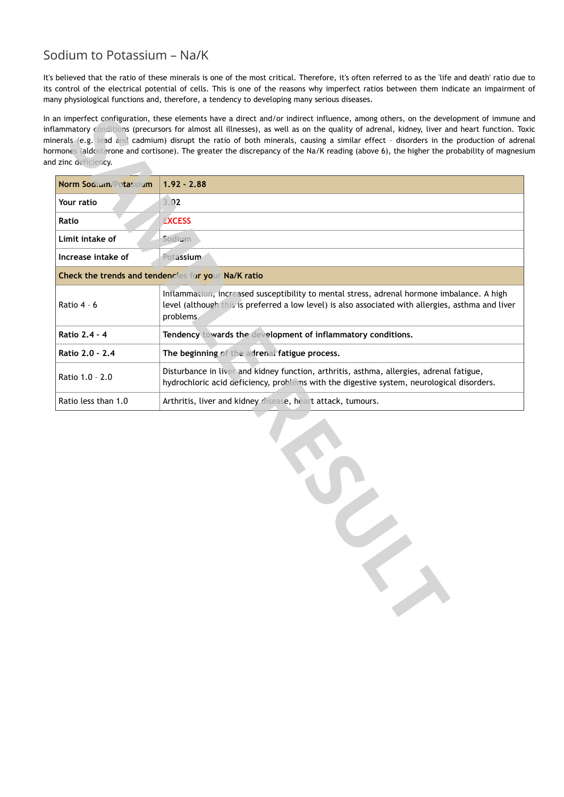## Sodium to Potassium – Na/K

It's believed that the ratio of these minerals is one of the most critical. Therefore, it's often referred to as the 'life and death' ratio due to its control of the electrical potential of cells. This is one of the reasons why imperfect ratios between them indicate an impairment of many physiological functions and, therefore, a tendency to developing many serious diseases.

In an imperfect configuration, these elements have a direct and/or indirect influence, among others, on the development of immune and inflammatory conditions (precursors for almost all illnesses), as well as on the quality of adrenal, kidney, liver and heart function. Toxic minerals (e.g. lead and cadmium) disrupt the ratio of both minerals, causing a similar effect – disorders in the production of adrenal hormones (aldosterone and cortisone). The greater the discrepancy of the Na/K reading (above 6), the higher the probability of magnesium and zinc deficiency.

| Norm Sodium/Potassium | $1.92 - 2.88$                                                                                                                                                                                                 |  |  |
|-----------------------|---------------------------------------------------------------------------------------------------------------------------------------------------------------------------------------------------------------|--|--|
| Your ratio            | 3.02                                                                                                                                                                                                          |  |  |
| Ratio                 | <b>EXCESS</b>                                                                                                                                                                                                 |  |  |
| Limit intake of       | Sodium                                                                                                                                                                                                        |  |  |
| Increase intake of    | Potassium                                                                                                                                                                                                     |  |  |
|                       | Check the trends and tendencies for your Na/K ratio                                                                                                                                                           |  |  |
| Ratio 4 - 6           | Inflammation, increased susceptibility to mental stress, adrenal hormone imbalance. A high<br>level (although this is preferred a low level) is also associated with allergies, asthma and liver<br>problems. |  |  |
| Ratio 2.4 - 4         | Tendency towards the development of inflammatory conditions.                                                                                                                                                  |  |  |
| Ratio 2.0 - 2.4       | The beginning of the adrenal fatigue process.                                                                                                                                                                 |  |  |
| Ratio 1.0 - 2.0       | Disturbance in liver and kidney function, arthritis, asthma, allergies, adrenal fatigue,<br>hydrochloric acid deficiency, problems with the digestive system, neurological disorders.                         |  |  |
| Ratio less than 1.0   | Arthritis, liver and kidney disease, heart attack, tumours.                                                                                                                                                   |  |  |
|                       |                                                                                                                                                                                                               |  |  |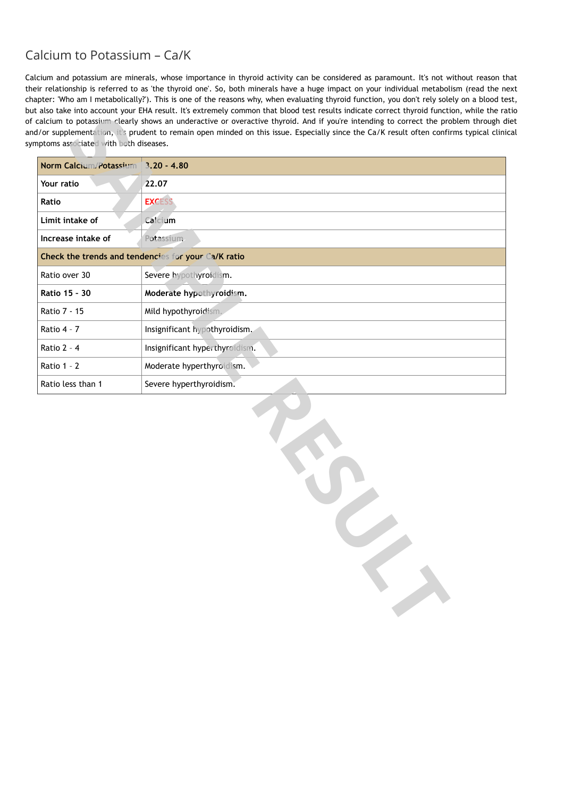## Calcium to Potassium – Ca/K

Calcium and potassium are minerals, whose importance in thyroid activity can be considered as paramount. It's not without reason that their relationship is referred to as 'the thyroid one'. So, both minerals have a huge impact on your individual metabolism (read the next chapter: 'Who am I metabolically?'). This is one of the reasons why, when evaluating thyroid function, you don't rely solely on a blood test, but also take into account your EHA result. It's extremely common that blood test results indicate correct thyroid function, while the ratio of calcium to potassium clearly shows an underactive or overactive thyroid. And if you're intending to correct the problem through diet and/or supplementation, it's prudent to remain open minded on this issue. Especially since the Ca/K result often confirms typical clinical symptoms associated with both diseases.

| Norm Calcium/Potassium | $3.20 - 4.80$                                       |
|------------------------|-----------------------------------------------------|
| Your ratio             | 22.07                                               |
| Ratio                  | <b>EXCESS</b>                                       |
| Limit intake of        | Calcium                                             |
| Increase intake of     | Potassium.                                          |
|                        | Check the trends and tendencies for your Ca/K ratio |
| Ratio over 30          | Severe hypothyroidism.                              |
| Ratio 15 - 30          | Moderate hypothyroidism.                            |
| Ratio 7 - 15           | Mild hypothyroidism.                                |
| Ratio 4 - 7            | Insignificant hypothyroidism.                       |
| Ratio 2 - 4            | Insignificant hyperthyroidism.                      |
| Ratio 1 - 2            | Moderate hyperthyroidism.                           |
| Ratio less than 1      | Severe hyperthyroidism.                             |
|                        |                                                     |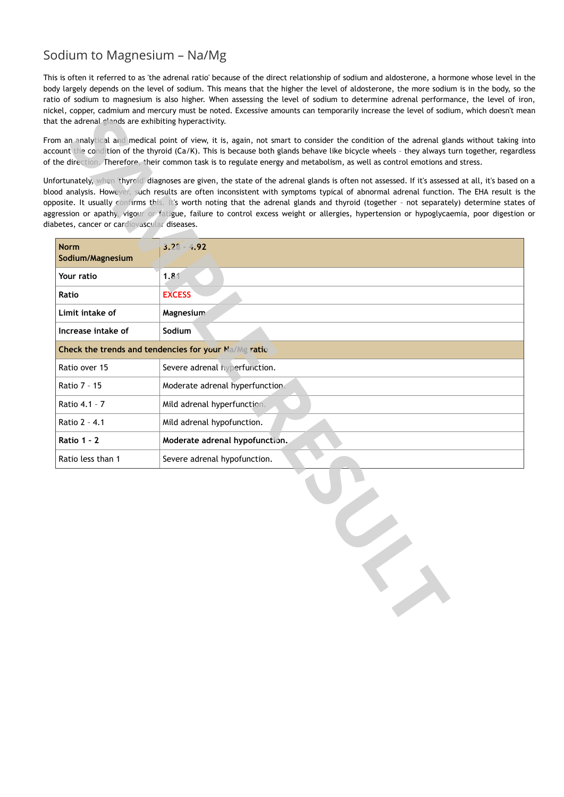## Sodium to Magnesium – Na/Mg

This is often it referred to as 'the adrenal ratio' because of the direct relationship of sodium and aldosterone, a hormone whose level in the body largely depends on the level of sodium. This means that the higher the level of aldosterone, the more sodium is in the body, so the ratio of sodium to magnesium is also higher. When assessing the level of sodium to determine adrenal performance, the level of iron, nickel, copper, cadmium and mercury must be noted. Excessive amounts can temporarily increase the level of sodium, which doesn't mean that the adrenal glands are exhibiting hyperactivity.

From an analytical and medical point of view, it is, again, not smart to consider the condition of the adrenal glands without taking into account the condition of the thyroid (Ca/K). This is because both glands behave like bicycle wheels – they always turn together, regardless of the direction. Therefore, their common task is to regulate energy and metabolism, as well as control emotions and stress.

Unfortunately, when 'thyroid' diagnoses are given, the state of the adrenal glands is often not assessed. If it's assessed at all, it's based on a blood analysis. However, such results are often inconsistent with symptoms typical of abnormal adrenal function. The EHA result is the opposite. It usually confirms this. It's worth noting that the adrenal glands and thyroid (together – not separately) determine states of aggression or apathy, vigour or fatigue, failure to control excess weight or allergies, hypertension or hypoglycaemia, poor digestion or diabetes, cancer or cardiovascular diseases.

| <b>Norm</b><br>Sodium/Magnesium | $3.28 - 4.92$                                        |
|---------------------------------|------------------------------------------------------|
| Your ratio                      | 1.81                                                 |
| Ratio                           | <b>EXCESS</b>                                        |
| Limit intake of                 | Magnesium                                            |
| Increase intake of              | Sodium                                               |
|                                 | Check the trends and tendencies for your Na/Mg ratio |
| Ratio over 15                   | Severe adrenal hyperfunction.                        |
| Ratio 7 - 15                    | Moderate adrenal hyperfunction.                      |
| Ratio 4.1 - 7                   | Mild adrenal hyperfunction.                          |
| Ratio 2 - 4.1                   | Mild adrenal hypofunction.                           |
| <b>Ratio 1 - 2</b>              | Moderate adrenal hypofunction.                       |
| Ratio less than 1               | Severe adrenal hypofunction.                         |
|                                 |                                                      |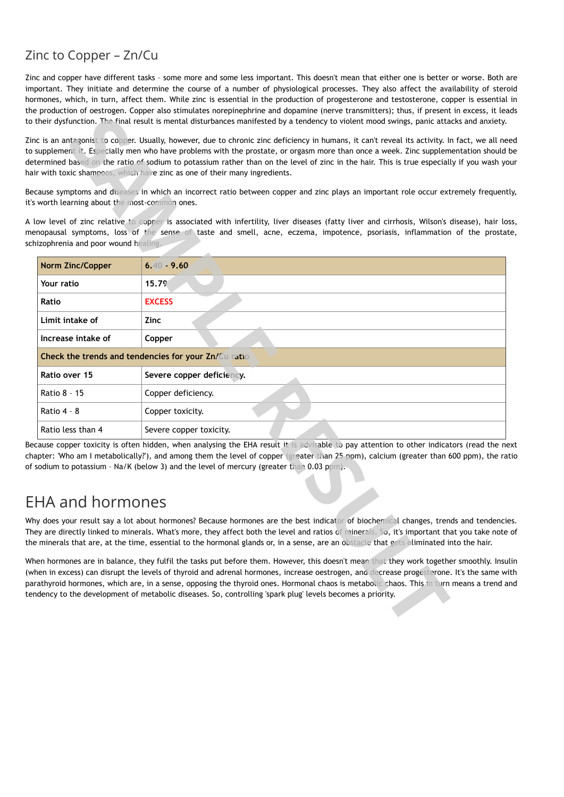## Zinc to Copper – Zn/Cu

Zinc and copper have different tasks – some more and some less important. This doesn't mean that either one is better or worse. Both are important. They initiate and determine the course of a number of physiological processes. They also affect the availability of steroid hormones, which, in turn, affect them. While zinc is essential in the production of progesterone and testosterone, copper is essential in the production of oestrogen. Copper also stimulates norepinephrine and dopamine (nerve transmitters); thus, if present in excess, it leads to their dysfunction. The final result is mental disturbances manifested by a tendency to violent mood swings, panic attacks and anxiety.

|                                            | their dysfunction. The final result is mental disturbances manifested by a tendency to violent mood swings, panic attacks and anxiety.                                                                                                                                                                                                                                                                                                                                                                                           |
|--------------------------------------------|----------------------------------------------------------------------------------------------------------------------------------------------------------------------------------------------------------------------------------------------------------------------------------------------------------------------------------------------------------------------------------------------------------------------------------------------------------------------------------------------------------------------------------|
|                                            | c is an antagonist to copper. Usually, however, due to chronic zinc deficiency in humans, it can't reveal its activity. In fact, we all ne<br>supplement it. Especially men who have problems with the prostate, or orgasm more than once a week. Zinc supplementation should<br>ermined based on the ratio of sodium to potassium rather than on the level of zinc in the hair. This is true especially if you wash y<br>r with toxic shampoos, which have zinc as one of their many ingredients.                               |
| worth learning about the most-common ones. | cause symptoms and diseases in which an incorrect ratio between copper and zinc plays an important role occur extremely frequen                                                                                                                                                                                                                                                                                                                                                                                                  |
| izophrenia and poor wound healing.         | ow level of zinc relative to copper is associated with infertility, liver diseases (fatty liver and cirrhosis, Wilson's disease), hair lo<br>nopausal symptoms, loss of the sense of taste and smell, acne, eczema, impotence, psoriasis, inflammation of the prosta                                                                                                                                                                                                                                                             |
| Norm Zinc/Copper                           | $6.40 - 9.60$                                                                                                                                                                                                                                                                                                                                                                                                                                                                                                                    |
| Your ratio                                 | 15.79                                                                                                                                                                                                                                                                                                                                                                                                                                                                                                                            |
| Ratio                                      | <b>EXCESS</b>                                                                                                                                                                                                                                                                                                                                                                                                                                                                                                                    |
| Limit intake of                            | Zinc                                                                                                                                                                                                                                                                                                                                                                                                                                                                                                                             |
| Increase intake of                         | Copper                                                                                                                                                                                                                                                                                                                                                                                                                                                                                                                           |
|                                            | Check the trends and tendencies for your Zn/Cu ratio                                                                                                                                                                                                                                                                                                                                                                                                                                                                             |
| Ratio over 15                              | Severe copper deficiency.                                                                                                                                                                                                                                                                                                                                                                                                                                                                                                        |
| Ratio 8 - 15                               | Copper deficiency.                                                                                                                                                                                                                                                                                                                                                                                                                                                                                                               |
| Ratio 4 - 8                                | Copper toxicity.                                                                                                                                                                                                                                                                                                                                                                                                                                                                                                                 |
| Ratio less than 4                          | Severe copper toxicity.                                                                                                                                                                                                                                                                                                                                                                                                                                                                                                          |
|                                            | cause copper toxicity is often hidden, when analysing the EHA result it is advisable to pay attention to other indicators (read the n<br>ipter: 'Who am I metabolically?'), and among them the level of copper (greater than 25 ppm), calcium (greater than 600 ppm), the ra<br>sodium to potassium - Na/K (below 3) and the level of mercury (greater than 0.03 ppm).                                                                                                                                                           |
| HA and hormones                            |                                                                                                                                                                                                                                                                                                                                                                                                                                                                                                                                  |
|                                            | y does your result say a lot about hormones? Because hormones are the best indicator of biochemical changes, trends and tendenci<br>ey are directly linked to minerals. What's more, they affect both the level and ratios of minerals. So, it's important that you take note<br>minerals that are, at the time, essential to the hormonal glands or, in a sense, are an obstacle that gets eliminated into the hair.                                                                                                            |
|                                            | en hormones are in balance, they fulfil the tasks put before them. However, this doesn't mean that they work together smoothly. Insu<br>ien in excess) can disrupt the levels of thyroid and adrenal hormones, increase oestrogen, and decrease progesterone. It's the same w<br>athyroid hormones, which are, in a sense, opposing the thyroid ones. Hormonal chaos is metabolic chaos. This in turn means a trend a<br>dency to the development of metabolic diseases. So, controlling 'spark plug' levels becomes a priority. |
|                                            |                                                                                                                                                                                                                                                                                                                                                                                                                                                                                                                                  |

Because copper toxicity is often hidden, when analysing the EHA result it is advisable to pay attention to other indicators (read the next chapter: 'Who am I metabolically?'), and among them the level of copper (greater than 25 ppm), calcium (greater than 600 ppm), the ratio of sodium to potassium - Na/K (below 3) and the level of mercury (greater than 0.03 ppm).

# EHA and hormones

Why does your result say a lot about hormones? Because hormones are the best indicator of biochemical changes, trends and tendencies. They are directly linked to minerals. What's more, they affect both the level and ratios of minerals. So, it's important that you take note of the minerals that are, at the time, essential to the hormonal glands or, in a sense, are an obstacle that gets eliminated into the hair.

When hormones are in balance, they fulfil the tasks put before them. However, this doesn't mean that they work together smoothly. Insulin (when in excess) can disrupt the levels of thyroid and adrenal hormones, increase oestrogen, and decrease progesterone. It's the same with parathyroid hormones, which are, in a sense, opposing the thyroid ones. Hormonal chaos is metabolic chaos. This in turn means a trend and tendency to the development of metabolic diseases. So, controlling 'spark plug' levels becomes a priority.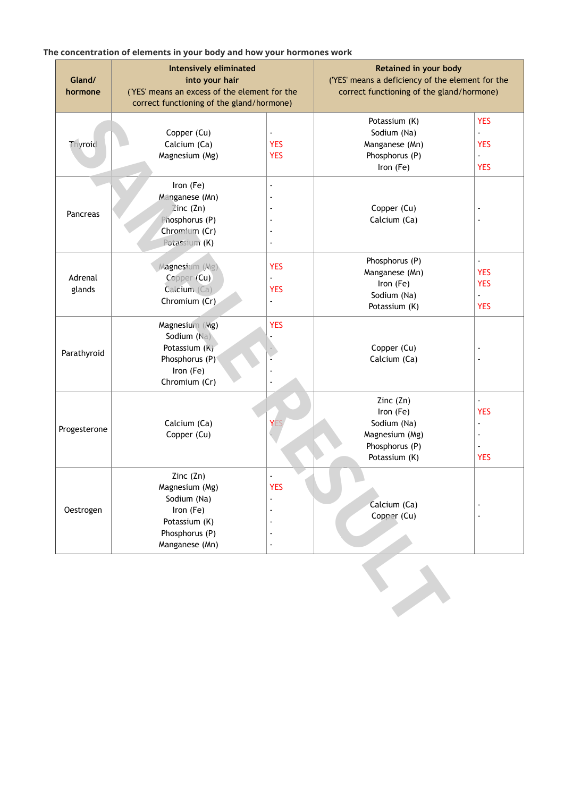## **The concentration of elements in your body and how your hormones work**

| Gland/<br>hormone | <b>Intensively eliminated</b><br>into your hair<br>('YES' means an excess of the element for the<br>correct functioning of the gland/hormone) |                                            | Retained in your body<br>('YES' means a deficiency of the element for the<br>correct functioning of the gland/hormone) |                                                                                          |
|-------------------|-----------------------------------------------------------------------------------------------------------------------------------------------|--------------------------------------------|------------------------------------------------------------------------------------------------------------------------|------------------------------------------------------------------------------------------|
| Thyroid           | Copper (Cu)<br>Calcium (Ca)<br>Magnesium (Mg)                                                                                                 | $\blacksquare$<br><b>YES</b><br><b>YES</b> | Potassium (K)<br>Sodium (Na)<br>Manganese (Mn)<br>Phosphorus (P)<br>Iron (Fe)                                          | <b>YES</b><br>$\blacksquare$<br><b>YES</b><br>$\blacksquare$<br><b>YES</b>               |
| Pancreas          | Iron (Fe)<br>Manganese (Mn)<br>$\mathbb{Z}$ inc (Zn)<br>Phosphorus (P)<br>Chromium (Cr)<br>Potassium (K)                                      | ÷,<br>$\overline{\phantom{a}}$<br>÷,       | Copper (Cu)<br>Calcium (Ca)                                                                                            | $\overline{\phantom{a}}$<br>$\overline{\phantom{a}}$                                     |
| Adrenal<br>glands | Magnesium (Mg)<br>Copper (Cu)<br>Calcium (Ca)<br>Chromium (Cr)                                                                                | <b>YES</b><br>ä,<br><b>YES</b><br>ä,       | Phosphorus (P)<br>Manganese (Mn)<br>Iron (Fe)<br>Sodium (Na)<br>Potassium (K)                                          | L.<br><b>YES</b><br><b>YES</b><br>$\overline{a}$<br><b>YES</b>                           |
| Parathyroid       | Magnesium (Mg)<br>Sodium (Na)<br>Potassium (K)<br>Phosphorus (P)<br>Iron (Fe)<br>Chromium (Cr)                                                | <b>YES</b>                                 | Copper (Cu)<br>Calcium (Ca)                                                                                            | $\overline{\phantom{a}}$<br>$\blacksquare$                                               |
| Progesterone      | Calcium (Ca)<br>Copper (Cu)                                                                                                                   | YE                                         | Zinc $(2n)$<br>Iron (Fe)<br>Sodium (Na)<br>Magnesium (Mg)<br>Phosphorus (P)<br>Potassium (K)                           | $\overline{a}$<br><b>YES</b><br>$\blacksquare$<br>$\overline{\phantom{a}}$<br><b>YES</b> |
| Oestrogen         | Zinc $(Zn)$<br>Magnesium (Mg)<br>Sodium (Na)<br>Iron (Fe)<br>Potassium (K)<br>Phosphorus (P)<br>Manganese (Mn)                                | <b>YES</b><br>÷,<br>$\blacksquare$<br>÷,   | Calcium (Ca)<br>Copper (Cu)                                                                                            |                                                                                          |
|                   |                                                                                                                                               |                                            |                                                                                                                        |                                                                                          |

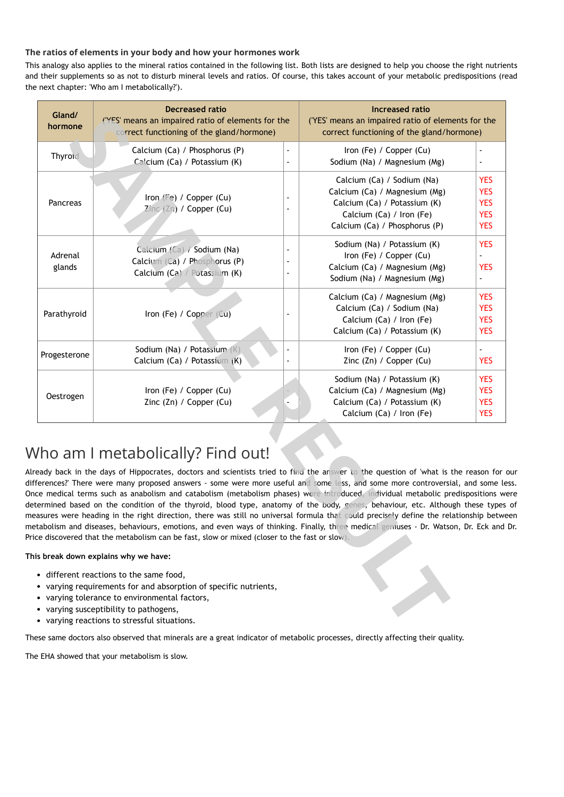## **The ratios of elements in your body and how your hormones work**

This analogy also applies to the mineral ratios contained in the following list. Both lists are designed to help you choose the right nutrients and their supplements so as not to disturb mineral levels and ratios. Of course, this takes account of your metabolic predispositions (read the next chapter: 'Who am I metabolically?').

| Gland/<br>hormone | <b>Decreased ratio</b><br>('YES' means an impaired ratio of elements for the<br>correct functioning of the gland/hormone)                                                                                                                                                                                                                                                                                                                                                                                                                                                                                                                                                                                                                                                                                                                                                                                                                         |                                            | Increased ratio<br>('YES' means an impaired ratio of elements for the<br>correct functioning of the gland/hormone)                                       |                                                                    |
|-------------------|---------------------------------------------------------------------------------------------------------------------------------------------------------------------------------------------------------------------------------------------------------------------------------------------------------------------------------------------------------------------------------------------------------------------------------------------------------------------------------------------------------------------------------------------------------------------------------------------------------------------------------------------------------------------------------------------------------------------------------------------------------------------------------------------------------------------------------------------------------------------------------------------------------------------------------------------------|--------------------------------------------|----------------------------------------------------------------------------------------------------------------------------------------------------------|--------------------------------------------------------------------|
| Thyroid           | Calcium (Ca) / Phosphorus (P)<br>Calcium (Ca) / Potassium (K)                                                                                                                                                                                                                                                                                                                                                                                                                                                                                                                                                                                                                                                                                                                                                                                                                                                                                     | $\overline{\phantom{a}}$<br>$\blacksquare$ | Iron (Fe) / Copper (Cu)<br>Sodium (Na) / Magnesium (Mg)                                                                                                  |                                                                    |
| Pancreas          | Iron (Fe) / Copper (Cu)<br>Zinc (Zn) / Copper (Cu)                                                                                                                                                                                                                                                                                                                                                                                                                                                                                                                                                                                                                                                                                                                                                                                                                                                                                                | $\blacksquare$                             | Calcium (Ca) / Sodium (Na)<br>Calcium (Ca) / Magnesium (Mg)<br>Calcium (Ca) / Potassium (K)<br>Calcium (Ca) / Iron (Fe)<br>Calcium (Ca) / Phosphorus (P) | <b>YES</b><br><b>YES</b><br><b>YES</b><br><b>YES</b><br><b>YES</b> |
| Adrenal<br>glands | Calcium (Ca) / Sodium (Na)<br>Calcium (Ca) / Phosphorus (P)<br>Calcium (Ca) / Potassium (K)                                                                                                                                                                                                                                                                                                                                                                                                                                                                                                                                                                                                                                                                                                                                                                                                                                                       | $\blacksquare$                             | Sodium (Na) / Potassium (K)<br>Iron (Fe) / Copper (Cu)<br>Calcium (Ca) / Magnesium (Mg)<br>Sodium (Na) / Magnesium (Mg)                                  | <b>YES</b><br><b>YES</b>                                           |
| Parathyroid       | Iron (Fe) / Copper (Cu)                                                                                                                                                                                                                                                                                                                                                                                                                                                                                                                                                                                                                                                                                                                                                                                                                                                                                                                           |                                            | Calcium (Ca) / Magnesium (Mg)<br>Calcium (Ca) / Sodium (Na)<br>Calcium (Ca) / Iron (Fe)<br>Calcium (Ca) / Potassium (K)                                  | <b>YES</b><br><b>YES</b><br><b>YES</b><br><b>YES</b>               |
| Progesterone      | Sodium (Na) / Potassium (K)<br>Calcium (Ca) / Potassium (K)                                                                                                                                                                                                                                                                                                                                                                                                                                                                                                                                                                                                                                                                                                                                                                                                                                                                                       | $\blacksquare$<br>$\blacksquare$           | Iron (Fe) / Copper (Cu)<br>Zinc (Zn) / Copper (Cu)                                                                                                       | <b>YES</b>                                                         |
| Oestrogen         | Iron (Fe) / Copper (Cu)<br>Zinc (Zn) / Copper (Cu)                                                                                                                                                                                                                                                                                                                                                                                                                                                                                                                                                                                                                                                                                                                                                                                                                                                                                                | $\blacksquare$                             | Sodium (Na) / Potassium (K)<br>Calcium (Ca) / Magnesium (Mg)<br>Calcium (Ca) / Potassium (K)<br>Calcium (Ca) / Iron (Fe)                                 | <b>YES</b><br><b>YES</b><br><b>YES</b><br><b>YES</b>               |
|                   | Vho am I metabolically? Find out!<br>eady back in the days of Hippocrates, doctors and scientists tried to find the answer to the question of 'what is the reason for<br>ferences?' There were many proposed answers - some were more useful and some less, and some more controversial, and some le<br>ce medical terms such as anabolism and catabolism (metabolism phases) were introduced, individual metabolic predispositions w<br>termined based on the condition of the thyroid, blood type, anatomy of the body, genes, behaviour, etc. Although these types<br>easures were heading in the right direction, there was still no universal formula that could precisely define the relationship betwe<br>ttabolism and diseases, behaviours, emotions, and even ways of thinking. Finally, three medical geniuses - Dr. Watson, Dr. Eck and<br>ce discovered that the metabolism can be fast, slow or mixed (closer to the fast or slow). |                                            |                                                                                                                                                          |                                                                    |
|                   | is break down explains why we have:                                                                                                                                                                                                                                                                                                                                                                                                                                                                                                                                                                                                                                                                                                                                                                                                                                                                                                               |                                            |                                                                                                                                                          |                                                                    |
|                   | • different reactions to the same food,<br>• varying requirements for and absorption of specific nutrients,<br>• varying tolerance to environmental factors,<br>• varying susceptibility to pathogens,<br>• varying reactions to stressful situations.                                                                                                                                                                                                                                                                                                                                                                                                                                                                                                                                                                                                                                                                                            |                                            |                                                                                                                                                          |                                                                    |

# Who am I metabolically? Find out!

Already back in the days of Hippocrates, doctors and scientists tried to find the answer to the question of 'what is the reason for our differences?' There were many proposed answers - some were more useful and some less, and some more controversial, and some less. Once medical terms such as anabolism and catabolism (metabolism phases) were introduced, individual metabolic predispositions were determined based on the condition of the thyroid, blood type, anatomy of the body, genes, behaviour, etc. Although these types of measures were heading in the right direction, there was still no universal formula that could precisely define the relationship between metabolism and diseases, behaviours, emotions, and even ways of thinking. Finally, three medical geniuses - Dr. Watson, Dr. Eck and Dr. Price discovered that the metabolism can be fast, slow or mixed (closer to the fast or slow).

### **This break down explains why we have:**

- different reactions to the same food,
- varying requirements for and absorption of specific nutrients,
- varying tolerance to environmental factors,
- varying susceptibility to pathogens,
- varying reactions to stressful situations.

These same doctors also observed that minerals are a great indicator of metabolic processes, directly affecting their quality.

The EHA showed that your metabolism is slow.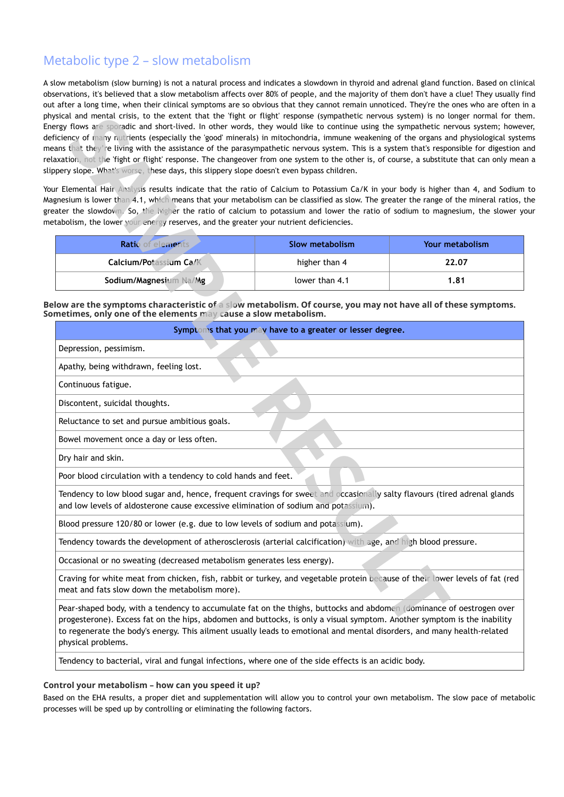## Metabolic type 2 – slow metabolism

A slow metabolism (slow burning) is not a natural process and indicates a slowdown in thyroid and adrenal gland function. Based on clinical observations, it's believed that a slow metabolism affects over 80% of people, and the majority of them don't have a clue! They usually find out after a long time, when their clinical symptoms are so obvious that they cannot remain unnoticed. They're the ones who are often in a physical and mental crisis, to the extent that the 'fight or flight' response (sympathetic nervous system) is no longer normal for them. Energy flows are sporadic and short-lived. In other words, they would like to continue using the sympathetic nervous system; however, deficiency of many nutrients (especially the 'good' minerals) in mitochondria, immune weakening of the organs and physiological systems means that they're living with the assistance of the parasympathetic nervous system. This is a system that's responsible for digestion and relaxation, not the 'fight or flight' response. The changeover from one system to the other is, of course, a substitute that can only mean a slippery slope. What's worse, these days, this slippery slope doesn't even bypass children.

| Ratió<br>emen                 | Slow metabolism | Your metabolism |
|-------------------------------|-----------------|-----------------|
| <b>Calcium/Potassium Ca/K</b> | higher than 4   | 22.07           |
| Sodium/Magnesiul<br>'Mg       | lower than 4.1  | 1.81            |

|                                                                                                                                                                                                                                                                                                                                                                                                 | netabolism, the lower your energy reserves, and the greater your nutrient deficiencies. |                 |  |  |
|-------------------------------------------------------------------------------------------------------------------------------------------------------------------------------------------------------------------------------------------------------------------------------------------------------------------------------------------------------------------------------------------------|-----------------------------------------------------------------------------------------|-----------------|--|--|
| Ratio of elements                                                                                                                                                                                                                                                                                                                                                                               | <b>Slow metabolism</b>                                                                  | Your metabolism |  |  |
| Calcium/Potassium Ca/K                                                                                                                                                                                                                                                                                                                                                                          | higher than 4                                                                           | 22.07           |  |  |
| Sodium/Magnesium Na/Mg                                                                                                                                                                                                                                                                                                                                                                          | lower than 4.1                                                                          | 1.81            |  |  |
| elow are the symptoms characteristic of a slow metabolism. Of course, you may not have all of these symptoms.<br>ometimes, only one of the elements may cause a slow metabolism.                                                                                                                                                                                                                |                                                                                         |                 |  |  |
| Symptoms that you may have to a greater or lesser degree.                                                                                                                                                                                                                                                                                                                                       |                                                                                         |                 |  |  |
| Depression, pessimism.                                                                                                                                                                                                                                                                                                                                                                          |                                                                                         |                 |  |  |
| Apathy, being withdrawn, feeling lost.                                                                                                                                                                                                                                                                                                                                                          |                                                                                         |                 |  |  |
| Continuous fatigue.                                                                                                                                                                                                                                                                                                                                                                             |                                                                                         |                 |  |  |
| Discontent, suicidal thoughts.                                                                                                                                                                                                                                                                                                                                                                  |                                                                                         |                 |  |  |
| Reluctance to set and pursue ambitious goals.                                                                                                                                                                                                                                                                                                                                                   |                                                                                         |                 |  |  |
| Bowel movement once a day or less often.                                                                                                                                                                                                                                                                                                                                                        |                                                                                         |                 |  |  |
| Dry hair and skin.                                                                                                                                                                                                                                                                                                                                                                              |                                                                                         |                 |  |  |
| Poor blood circulation with a tendency to cold hands and feet.                                                                                                                                                                                                                                                                                                                                  |                                                                                         |                 |  |  |
| Tendency to low blood sugar and, hence, frequent cravings for sweet and occasionally salty flavours (tired adrenal glands<br>and low levels of aldosterone cause excessive elimination of sodium and potassium).                                                                                                                                                                                |                                                                                         |                 |  |  |
| Blood pressure 120/80 or lower (e.g. due to low levels of sodium and potassium).                                                                                                                                                                                                                                                                                                                |                                                                                         |                 |  |  |
| Tendency towards the development of atherosclerosis (arterial calcification) with age, and high blood pressure.                                                                                                                                                                                                                                                                                 |                                                                                         |                 |  |  |
| Occasional or no sweating (decreased metabolism generates less energy).                                                                                                                                                                                                                                                                                                                         |                                                                                         |                 |  |  |
| Craving for white meat from chicken, fish, rabbit or turkey, and vegetable protein because of their lower levels of fat (red<br>meat and fats slow down the metabolism more).                                                                                                                                                                                                                   |                                                                                         |                 |  |  |
| Pear-shaped body, with a tendency to accumulate fat on the thighs, buttocks and abdomen (dominance of oestrogen over<br>progesterone). Excess fat on the hips, abdomen and buttocks, is only a visual symptom. Another symptom is the inability<br>to regenerate the body's energy. This ailment usually leads to emotional and mental disorders, and many health-related<br>physical problems. |                                                                                         |                 |  |  |

### **Control your metabolism – how can you speed it up?**

Based on the EHA results, a proper diet and supplementation will allow you to control your own metabolism. The slow pace of metabolic processes will be sped up by controlling or eliminating the following factors.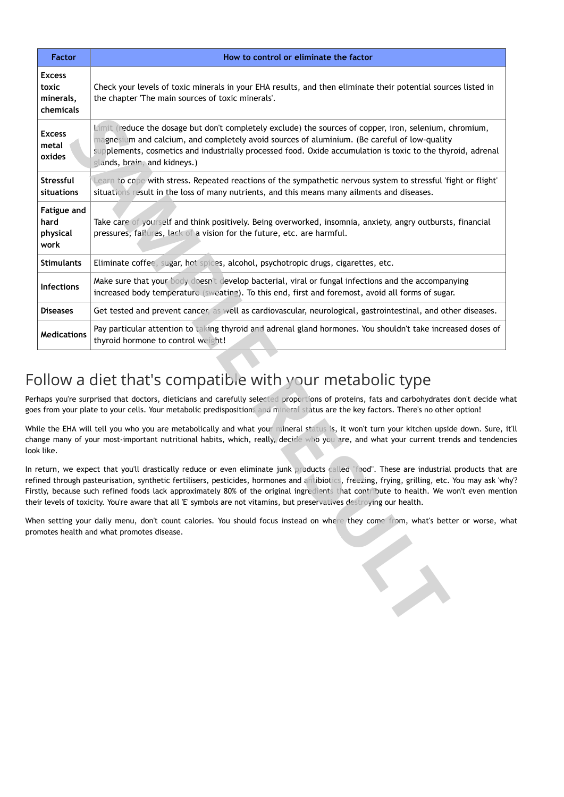|                                                                                                                                                                                                                                                                                                                                                                                                                                                                                       | <b>Factor</b>                                    | How to control or eliminate the factor                                                                                                                                                                                                                                                                                                                                                                                                                                                                                                                      |  |  |  |
|---------------------------------------------------------------------------------------------------------------------------------------------------------------------------------------------------------------------------------------------------------------------------------------------------------------------------------------------------------------------------------------------------------------------------------------------------------------------------------------|--------------------------------------------------|-------------------------------------------------------------------------------------------------------------------------------------------------------------------------------------------------------------------------------------------------------------------------------------------------------------------------------------------------------------------------------------------------------------------------------------------------------------------------------------------------------------------------------------------------------------|--|--|--|
|                                                                                                                                                                                                                                                                                                                                                                                                                                                                                       | <b>Excess</b><br>toxic<br>minerals,<br>chemicals | Check your levels of toxic minerals in your EHA results, and then eliminate their potential sources listed in<br>the chapter 'The main sources of toxic minerals'.                                                                                                                                                                                                                                                                                                                                                                                          |  |  |  |
|                                                                                                                                                                                                                                                                                                                                                                                                                                                                                       | <b>Excess</b><br>metal<br>oxides                 | Limit (reduce the dosage but don't completely exclude) the sources of copper, iron, selenium, chromium,<br>magnesium and calcium, and completely avoid sources of aluminium. (Be careful of low-quality<br>supplements, cosmetics and industrially processed food. Oxide accumulation is toxic to the thyroid, adrenal<br>glands, brain, and kidneys.)                                                                                                                                                                                                      |  |  |  |
|                                                                                                                                                                                                                                                                                                                                                                                                                                                                                       | Stressful<br>situations                          | Learn to cope with stress. Repeated reactions of the sympathetic nervous system to stressful 'fight or flight'<br>situations result in the loss of many nutrients, and this means many ailments and diseases.                                                                                                                                                                                                                                                                                                                                               |  |  |  |
|                                                                                                                                                                                                                                                                                                                                                                                                                                                                                       | <b>Fatigue and</b><br>hard<br>physical<br>work   | Take care of yourself and think positively. Being overworked, insomnia, anxiety, angry outbursts, financial<br>pressures, failures, lack of a vision for the future, etc. are harmful.                                                                                                                                                                                                                                                                                                                                                                      |  |  |  |
|                                                                                                                                                                                                                                                                                                                                                                                                                                                                                       | <b>Stimulants</b>                                | Eliminate coffee, sugar, hot spices, alcohol, psychotropic drugs, cigarettes, etc.                                                                                                                                                                                                                                                                                                                                                                                                                                                                          |  |  |  |
|                                                                                                                                                                                                                                                                                                                                                                                                                                                                                       | Infections                                       | Make sure that your body doesn't develop bacterial, viral or fungal infections and the accompanying<br>increased body temperature (sweating). To this end, first and foremost, avoid all forms of sugar.                                                                                                                                                                                                                                                                                                                                                    |  |  |  |
|                                                                                                                                                                                                                                                                                                                                                                                                                                                                                       | <b>Diseases</b>                                  | Get tested and prevent cancer, as well as cardiovascular, neurological, gastrointestinal, and other diseases.                                                                                                                                                                                                                                                                                                                                                                                                                                               |  |  |  |
|                                                                                                                                                                                                                                                                                                                                                                                                                                                                                       | <b>Medications</b>                               | Pay particular attention to taking thyroid and adrenal gland hormones. You shouldn't take increased doses of<br>thyroid hormone to control weight!                                                                                                                                                                                                                                                                                                                                                                                                          |  |  |  |
| Follow a diet that's compatible with your metabolic type<br>Perhaps you're surprised that doctors, dieticians and carefully selected proportions of proteins, fats and carbohydrates don't decide wh<br>goes from your plate to your cells. Your metabolic predispositions and mineral status are the key factors. There's no other option!<br>While the EHA will tell you who you are metabolically and what your mineral status is, it won't turn your kitchen upside down. Sure, i |                                                  |                                                                                                                                                                                                                                                                                                                                                                                                                                                                                                                                                             |  |  |  |
|                                                                                                                                                                                                                                                                                                                                                                                                                                                                                       | look like.                                       | change many of your most-important nutritional habits, which, really, decide who you are, and what your current trends and tendenci                                                                                                                                                                                                                                                                                                                                                                                                                         |  |  |  |
|                                                                                                                                                                                                                                                                                                                                                                                                                                                                                       |                                                  | In return, we expect that you'll drastically reduce or even eliminate junk products called "food". These are industrial products that a<br>refined through pasteurisation, synthetic fertilisers, pesticides, hormones and antibiotics, freezing, frying, grilling, etc. You may ask 'wh<br>Firstly, because such refined foods lack approximately 80% of the original ingredients that contribute to health. We won't even menti<br>their levels of toxicity. You're aware that all 'E' symbols are not vitamins, but preservatives destroying our health. |  |  |  |
|                                                                                                                                                                                                                                                                                                                                                                                                                                                                                       |                                                  | When setting your daily menu, don't count calories. You should focus instead on where they come from, what's better or worse, wh<br>promotes health and what promotes disease.                                                                                                                                                                                                                                                                                                                                                                              |  |  |  |
|                                                                                                                                                                                                                                                                                                                                                                                                                                                                                       |                                                  |                                                                                                                                                                                                                                                                                                                                                                                                                                                                                                                                                             |  |  |  |

# Follow a diet that's compatible with your metabolic type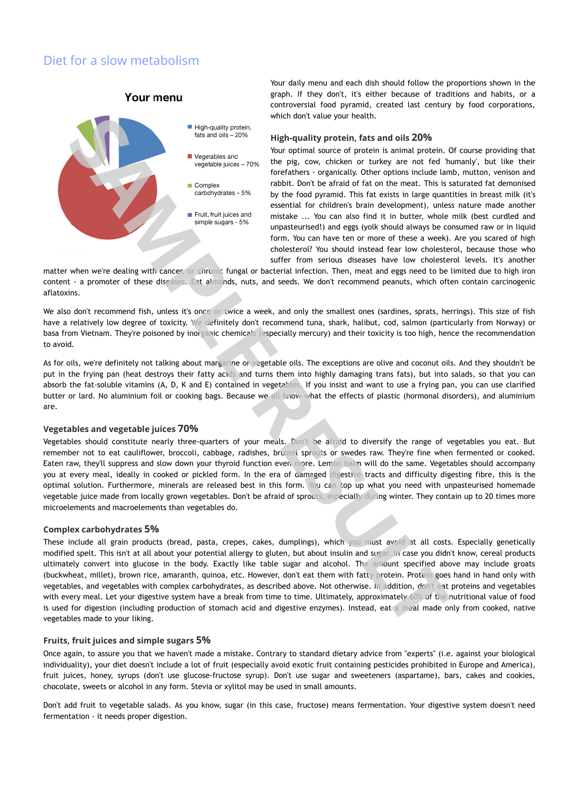## Diet for a slow metabolism

Your menu



Your daily menu and each dish should follow the proportions shown in the graph. If they don't, it's either because of traditions and habits, or a controversial food pyramid, created last century by food corporations, which don't value your health.

#### **High-quality protein, fats and oils 20%**

Your optimal source of protein is animal protein. Of course providing that the pig, cow, chicken or turkey are not fed 'humanly', but like their forefathers - organically. Other options include lamb, mutton, venison and rabbit. Don't be afraid of fat on the meat. This is saturated fat demonised by the food pyramid. This fat exists in large quantities in breast milk (it's essential for children's brain development), unless nature made another mistake ... You can also find it in butter, whole milk (best curdled and unpasteurised!) and eggs (yolk should always be consumed raw or in liquid form. You can have ten or more of these a week). Are you scared of high cholesterol? You should instead fear low cholesterol, because those who suffer from serious diseases have low cholesterol levels. It's another

matter when we're dealing with cancer, or chronic fungal or bacterial infection. Then, meat and eggs need to be limited due to high iron content - a promoter of these diseases. Eat almonds, nuts, and seeds. We don't recommend peanuts, which often contain carcinogenic aflatoxins.

We also don't recommend fish, unless it's once or twice a week, and only the smallest ones (sardines, sprats, herrings). This size of fish have a relatively low degree of toxicity. We definitely don't recommend tuna, shark, halibut, cod, salmon (particularly from Norway) or basa from Vietnam. They're poisoned by inorganic chemicals (especially mercury) and their toxicity is too high, hence the recommendation to avoid.

As for oils, we're definitely not talking about margarine or vegetable oils. The exceptions are olive and coconut oils. And they shouldn't be put in the frying pan (heat destroys their fatty acids and turns them into highly damaging trans fats), but into salads, so that you can absorb the fat-soluble vitamins (A, D, K and E) contained in vegetables. If you insist and want to use a frying pan, you can use clarified butter or lard. No aluminium foil or cooking bags. Because we all know what the effects of plastic (hormonal disorders), and aluminium are.

#### **Vegetables and vegetable juices 70%**

Vegetables should constitute nearly three-quarters of your meals. Don't be afraid to diversify the range of vegetables you eat. But remember not to eat cauliflower, broccoli, cabbage, radishes, brussel sprouts or swedes raw. They're fine when fermented or cooked. Eaten raw, they'll suppress and slow down your thyroid function even more. Lemon balm will do the same. Vegetables should accompany you at every meal, ideally in cooked or pickled form. In the era of damaged digestive tracts and difficulty digesting fibre, this is the optimal solution. Furthermore, minerals are released best in this form. You can top up what you need with unpasteurised homemade vegetable juice made from locally grown vegetables. Don't be afraid of sprouts, especially during winter. They contain up to 20 times more microelements and macroelements than vegetables do.

#### **Complex carbohydrates 5%**

These include all grain products (bread, pasta, crepes, cakes, dumplings), which you must avoid at all costs. Especially genetically modified spelt. This isn't at all about your potential allergy to gluten, but about insulin and sugar. In case you didn't know, cereal products ultimately convert into glucose in the body. Exactly like table sugar and alcohol. The amount specified above may include groats (buckwheat, millet), brown rice, amaranth, quinoa, etc. However, don't eat them with fatty protein. Protein goes hand in hand only with vegetables, and vegetables with complex carbohydrates, as described above. Not otherwise. In addition, don't eat proteins and vegetables with every meal. Let your digestive system have a break from time to time. Ultimately, approximately 60% of the nutritional value of food is used for digestion (including production of stomach acid and digestive enzymes). Instead, eat a meal made only from cooked, native vegetables made to your liking. **Solution** and the particular system and the particular proteins. The two sets that the set of the particular proteins and the particular proteins and the particular proteins and the particular proteins and the particular

#### **Fruits, fruit juices and simple sugars 5%**

Once again, to assure you that we haven't made a mistake. Contrary to standard dietary advice from "experts" (i.e. against your biological individuality), your diet doesn't include a lot of fruit (especially avoid exotic fruit containing pesticides prohibited in Europe and America), fruit juices, honey, syrups (don't use glucose-fructose syrup). Don't use sugar and sweeteners (aspartame), bars, cakes and cookies, chocolate, sweets or alcohol in any form. Stevia or xylitol may be used in small amounts.

Don't add fruit to vegetable salads. As you know, sugar (in this case, fructose) means fermentation. Your digestive system doesn't need fermentation - it needs proper digestion.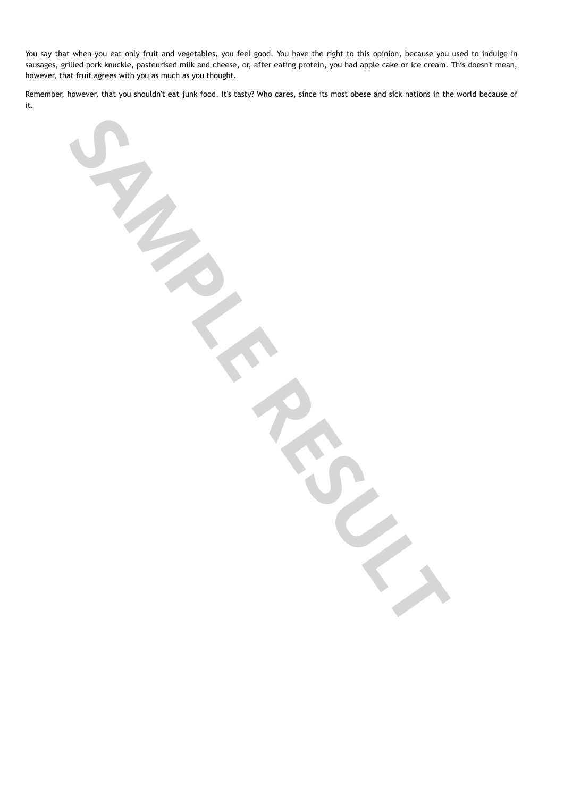You say that when you eat only fruit and vegetables, you feel good. You have the right to this opinion, because you used to indulge in sausages, grilled pork knuckle, pasteurised milk and cheese, or, after eating protein, you had apple cake or ice cream. This doesn't mean, however, that fruit agrees with you as much as you thought.

Remember, however, that you shouldn't eat junk food. It's tasty? Who cares, since its most obese and sick nations in the world because of it.

**SAMPLE RESULTS**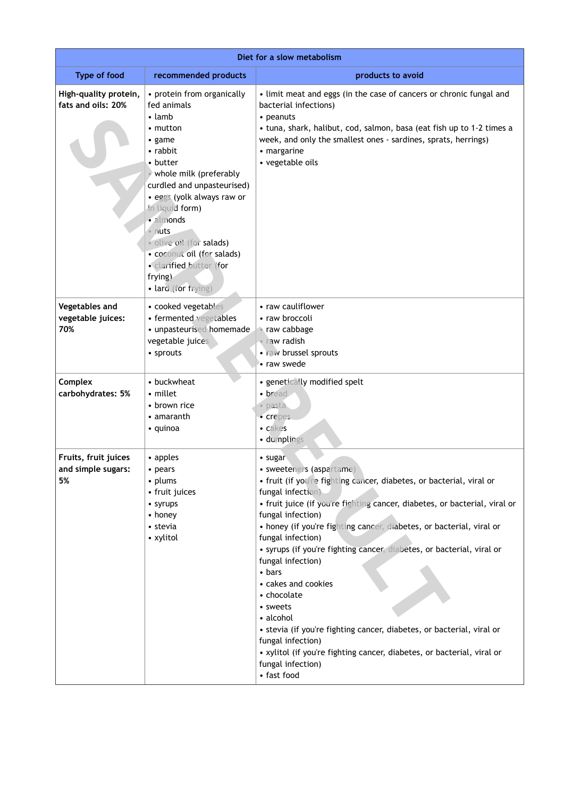| Diet for a slow metabolism                       |                                                                                                                                                                                                                                                                                                                                                                      |                                                                                                                                                                                                                                                                                                                                                                                                                                                                                                                                                                                                                                                                                                                             |  |
|--------------------------------------------------|----------------------------------------------------------------------------------------------------------------------------------------------------------------------------------------------------------------------------------------------------------------------------------------------------------------------------------------------------------------------|-----------------------------------------------------------------------------------------------------------------------------------------------------------------------------------------------------------------------------------------------------------------------------------------------------------------------------------------------------------------------------------------------------------------------------------------------------------------------------------------------------------------------------------------------------------------------------------------------------------------------------------------------------------------------------------------------------------------------------|--|
| <b>Type of food</b>                              | recommended products                                                                                                                                                                                                                                                                                                                                                 | products to avoid                                                                                                                                                                                                                                                                                                                                                                                                                                                                                                                                                                                                                                                                                                           |  |
| High-quality protein,<br>fats and oils: 20%      | • protein from organically<br>fed animals<br>$\cdot$ lamb<br>$\cdot$ mutton<br>• game<br>• rabbit<br>• butter<br>whole milk (preferably<br>curdled and unpasteurised)<br>· eggs (yolk always raw or<br>in liquid form)<br>· almonds<br>• nuts<br>· olive oit (for salads)<br>· coconut oil (for salads)<br>· clarified butter (for<br>frying)<br>· lard (for frying) | • limit meat and eggs (in the case of cancers or chronic fungal and<br>bacterial infections)<br>• peanuts<br>• tuna, shark, halibut, cod, salmon, basa (eat fish up to 1-2 times a<br>week, and only the smallest ones - sardines, sprats, herrings)<br>• margarine<br>• vegetable oils                                                                                                                                                                                                                                                                                                                                                                                                                                     |  |
| Vegetables and<br>vegetable juices:<br>70%       | • cooked vegetables<br>• fermented vegetables<br>· unpasteurised homemade<br>vegetable juices<br>• sprouts                                                                                                                                                                                                                                                           | • raw cauliflower<br>• raw broccoli<br><b>Traw cabbage</b><br>• raw radish<br>· raw brussel sprouts<br>• raw swede                                                                                                                                                                                                                                                                                                                                                                                                                                                                                                                                                                                                          |  |
| Complex<br>carbohydrates: 5%                     | • buckwheat<br>• millet<br>• brown rice<br>• amaranth<br>• quinoa                                                                                                                                                                                                                                                                                                    | • genetically modified spelt<br>• bread<br>· pasta<br>· crepes<br>• cakes<br>· dumplings                                                                                                                                                                                                                                                                                                                                                                                                                                                                                                                                                                                                                                    |  |
| Fruits, fruit juices<br>and simple sugars:<br>5% | • apples<br>• pears<br>• plums<br>• fruit juices<br>• syrups<br>• honey<br>• stevia<br>• xylitol                                                                                                                                                                                                                                                                     | • sugar<br>· sweeteners (aspartame)<br>• fruit (if you're fighting cancer, diabetes, or bacterial, viral or<br>fungal infection)<br>• fruit juice (if you're fighting cancer, diabetes, or bacterial, viral or<br>fungal infection)<br>• honey (if you're fighting cancer, diabetes, or bacterial, viral or<br>fungal infection)<br>• syrups (if you're fighting cancer, diabetes, or bacterial, viral or<br>fungal infection)<br>$\bullet$ bars<br>• cakes and cookies<br>• chocolate<br>• sweets<br>• alcohol<br>• stevia (if you're fighting cancer, diabetes, or bacterial, viral or<br>fungal infection)<br>• xylitol (if you're fighting cancer, diabetes, or bacterial, viral or<br>fungal infection)<br>• fast food |  |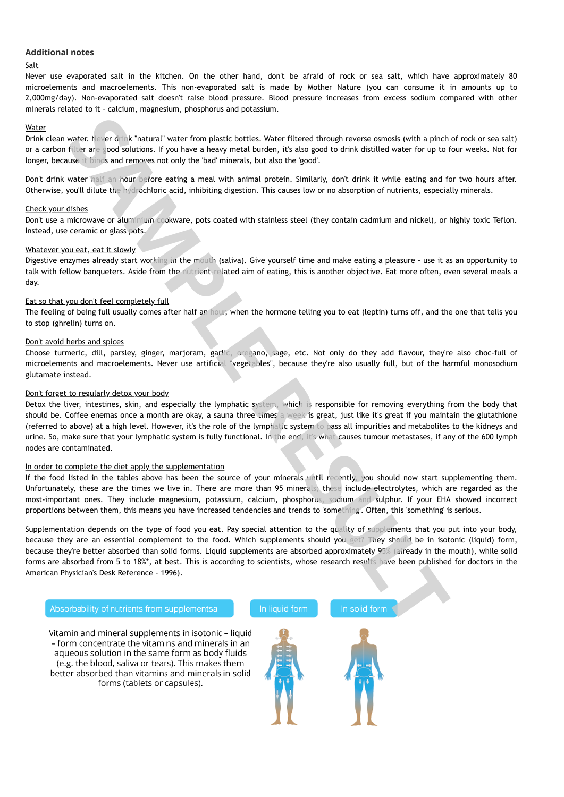#### **Additional notes**

#### **Salt**

Never use evaporated salt in the kitchen. On the other hand, don't be afraid of rock or sea salt, which have approximately 80 microelements and macroelements. This non-evaporated salt is made by Mother Nature (you can consume it in amounts up to 2,000mg/day). Non-evaporated salt doesn't raise blood pressure. Blood pressure increases from excess sodium compared with other minerals related to it - calcium, magnesium, phosphorus and potassium.

#### Water

Drink clean water. Never drink "natural" water from plastic bottles. Water filtered through reverse osmosis (with a pinch of rock or sea salt) or a carbon filter are good solutions. If you have a heavy metal burden, it's also good to drink distilled water for up to four weeks. Not for longer, because it binds and removes not only the 'bad' minerals, but also the 'good'.

Don't drink water half an hour before eating a meal with animal protein. Similarly, don't drink it while eating and for two hours after. Otherwise, you'll dilute the hydrochloric acid, inhibiting digestion. This causes low or no absorption of nutrients, especially minerals.

#### Check your dishes

Don't use a microwave or aluminium cookware, pots coated with stainless steel (they contain cadmium and nickel), or highly toxic Teflon. Instead, use ceramic or glass pots.

#### Whatever you eat, eat it slowly

Digestive enzymes already start working in the mouth (saliva). Give yourself time and make eating a pleasure - use it as an opportunity to talk with fellow banqueters. Aside from the nutrient-related aim of eating, this is another objective. Eat more often, even several meals a day.

#### Eat so that you don't feel completely full

The feeling of being full usually comes after half an hour, when the hormone telling you to eat (leptin) turns off, and the one that tells you to stop (ghrelin) turns on.

#### Don't avoid herbs and spices

Choose turmeric, dill, parsley, ginger, marjoram, garlic, oregano, sage, etc. Not only do they add flavour, they're also choc-full of microelements and macroelements. Never use artificial "vegetables", because they're also usually full, but of the harmful monosodium glutamate instead.

#### Don't forget to regularly detox your body

Detox the liver, intestines, skin, and especially the lymphatic system, which is responsible for removing everything from the body that should be. Coffee enemas once a month are okay, a sauna three times a week is great, just like it's great if you maintain the glutathione (referred to above) at a high level. However, it's the role of the lymphatic system to pass all impurities and metabolites to the kidneys and urine. So, make sure that your lymphatic system is fully functional. In the end, it's what causes tumour metastases, if any of the 600 lymph nodes are contaminated. When clean everts are the internal matrix water form plastic battles. When filtered to magnitude as more about the internal matrix and the internal matrix and the internal matrix and the internal matrix and the internal ma

#### In order to complete the diet apply the supplementation

If the food listed in the tables above has been the source of your minerals until recently, you should now start supplementing them. Unfortunately, these are the times we live in. There are more than 95 minerals; these include electrolytes, which are regarded as the most-important ones. They include magnesium, potassium, calcium, phosphorus, sodium and sulphur. If your EHA showed incorrect proportions between them, this means you have increased tendencies and trends to 'something'. Often, this 'something' is serious.

Supplementation depends on the type of food you eat. Pay special attention to the quality of supplements that you put into your body, because they are an essential complement to the food. Which supplements should you get? They should be in isotonic (liquid) form, because they're better absorbed than solid forms. Liquid supplements are absorbed approximately 95% (already in the mouth), while solid forms are absorbed from 5 to 18%\*, at best. This is according to scientists, whose research results have been published for doctors in the